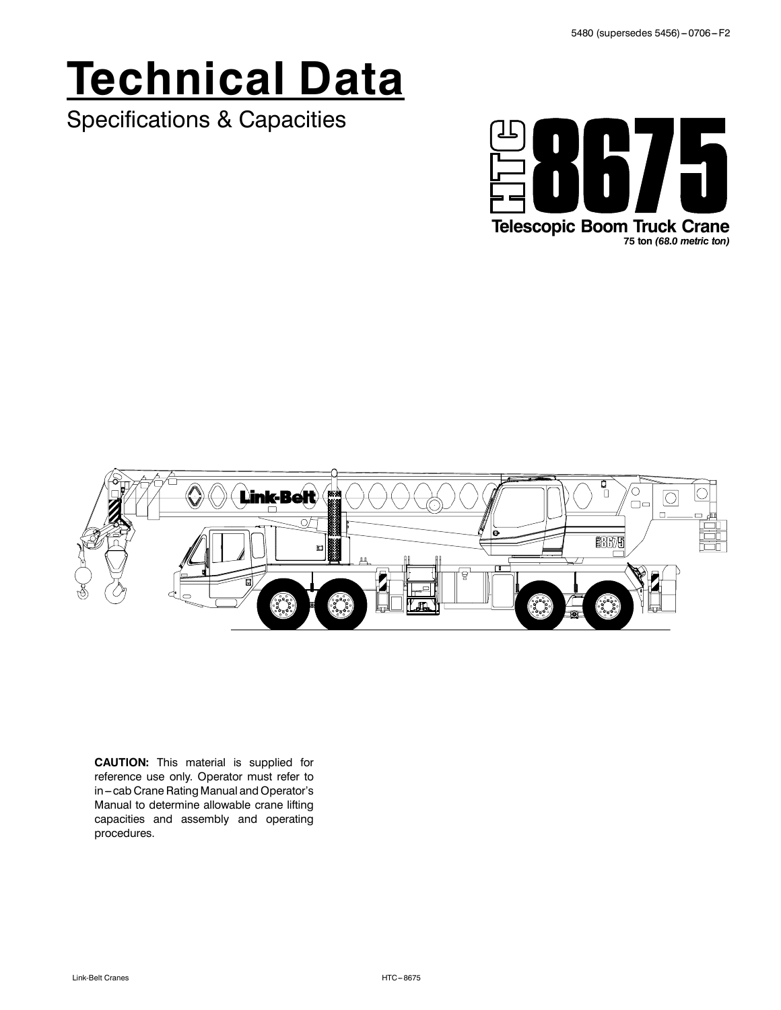# **Technical Data**

Specifications & Capacities



**75 ton** *(68.0 metric ton)*



**CAUTION:** This material is supplied for reference use only. Operator must refer to in-cab Crane Rating Manual and Operator's Manual to determine allowable crane lifting capacities and assembly and operating procedures.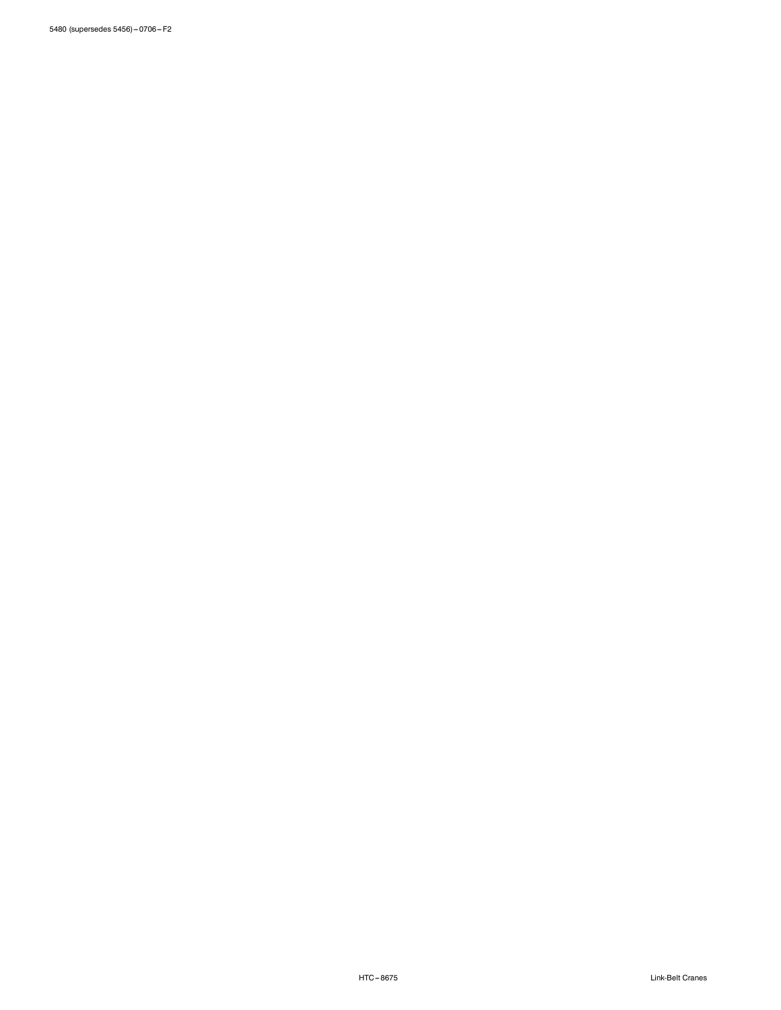5480 (supersedes 5456) - 0706 - F2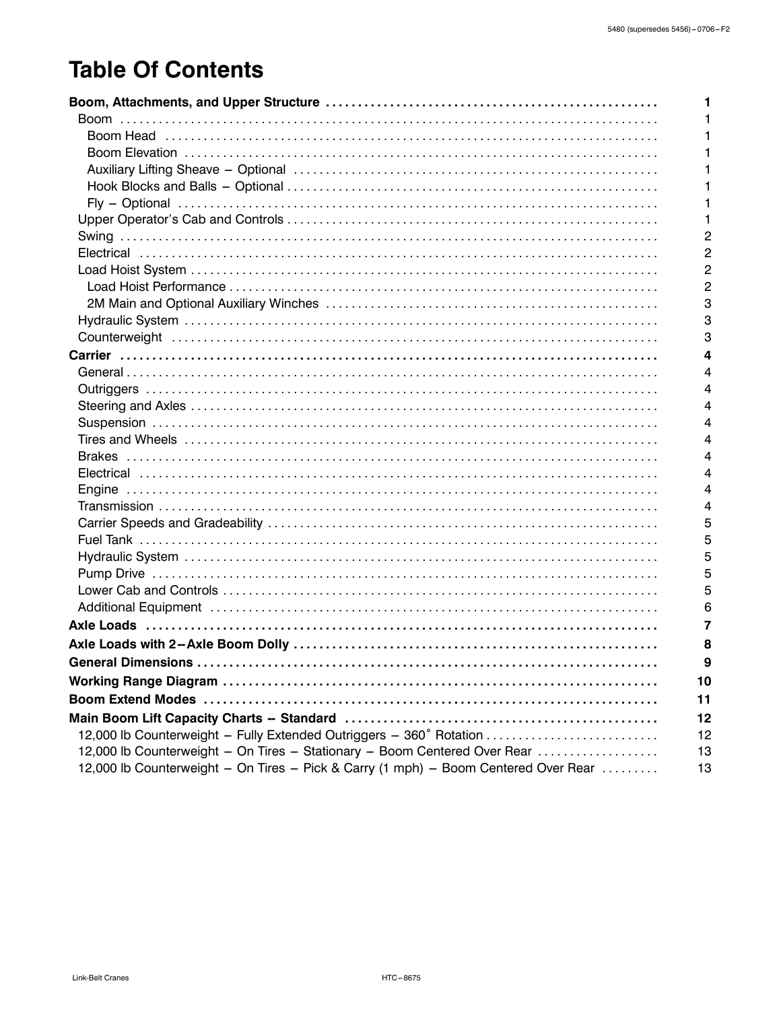# **Table Of Contents**

|                                                                                     | 1              |
|-------------------------------------------------------------------------------------|----------------|
|                                                                                     | 1              |
|                                                                                     | 1              |
|                                                                                     | 1              |
|                                                                                     | 1              |
|                                                                                     | 1              |
|                                                                                     | 1              |
|                                                                                     | 1              |
|                                                                                     | $\overline{c}$ |
|                                                                                     | $\overline{c}$ |
|                                                                                     | $\overline{2}$ |
|                                                                                     | $\overline{2}$ |
|                                                                                     | 3              |
|                                                                                     | 3              |
|                                                                                     | 3              |
|                                                                                     | 4              |
|                                                                                     | 4              |
|                                                                                     | 4              |
|                                                                                     | 4              |
|                                                                                     | 4              |
|                                                                                     | 4              |
|                                                                                     | 4              |
|                                                                                     | 4              |
|                                                                                     | 4              |
|                                                                                     | 4              |
|                                                                                     | 5              |
|                                                                                     | 5              |
|                                                                                     | 5              |
|                                                                                     | 5              |
|                                                                                     | 5              |
|                                                                                     | 6              |
|                                                                                     | 7              |
|                                                                                     | 8              |
|                                                                                     | 9              |
|                                                                                     | 10             |
|                                                                                     | 11             |
|                                                                                     | 12             |
| 12,000 lb Counterweight - Fully Extended Outriggers - 360° Rotation                 | 12             |
| 12,000 lb Counterweight - On Tires - Stationary - Boom Centered Over Rear           | 13             |
| 12,000 lb Counterweight - On Tires - Pick & Carry (1 mph) - Boom Centered Over Rear | 13             |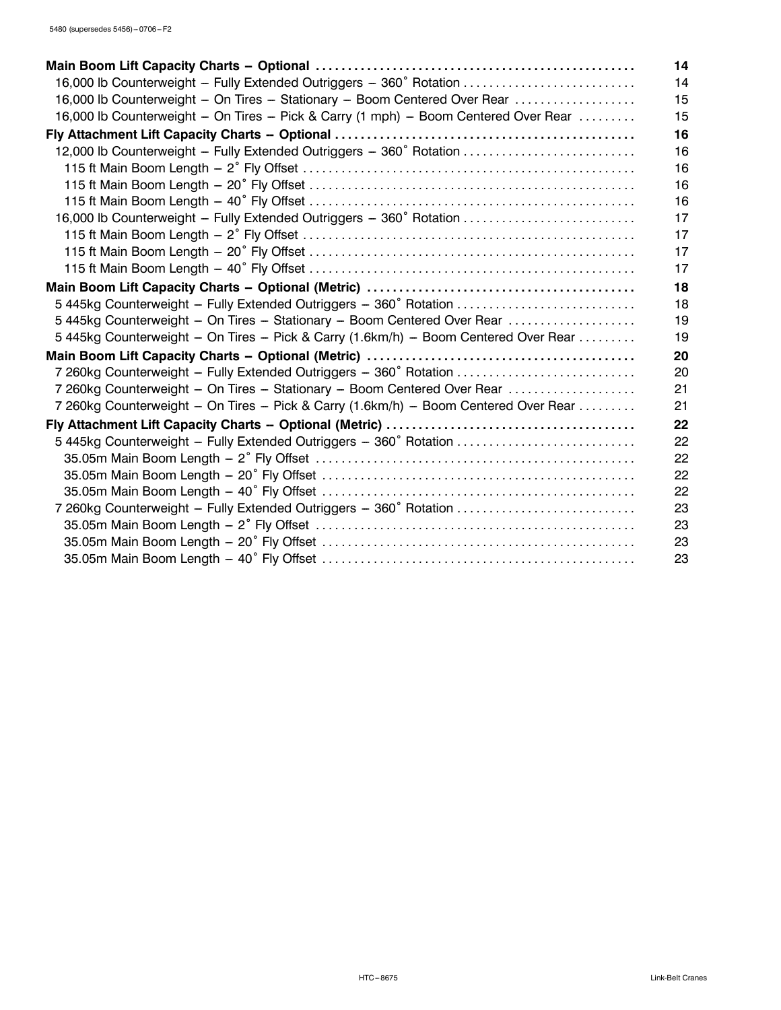|                                                                                     | 14 |
|-------------------------------------------------------------------------------------|----|
| 16,000 lb Counterweight - Fully Extended Outriggers - 360° Rotation                 | 14 |
| 16,000 lb Counterweight - On Tires - Stationary - Boom Centered Over Rear           | 15 |
| 16,000 lb Counterweight - On Tires - Pick & Carry (1 mph) - Boom Centered Over Rear | 15 |
|                                                                                     | 16 |
| 12,000 lb Counterweight - Fully Extended Outriggers - 360° Rotation                 | 16 |
|                                                                                     | 16 |
|                                                                                     | 16 |
|                                                                                     | 16 |
| 16,000 lb Counterweight - Fully Extended Outriggers - 360° Rotation                 | 17 |
|                                                                                     | 17 |
|                                                                                     | 17 |
|                                                                                     | 17 |
|                                                                                     | 18 |
| 5 445kg Counterweight - Fully Extended Outriggers - 360° Rotation                   | 18 |
| 5 445kg Counterweight - On Tires - Stationary - Boom Centered Over Rear             | 19 |
| 5 445kg Counterweight - On Tires - Pick & Carry (1.6km/h) - Boom Centered Over Rear | 19 |
|                                                                                     | 20 |
| 7 260kg Counterweight - Fully Extended Outriggers - 360° Rotation                   | 20 |
| 7 260kg Counterweight - On Tires - Stationary - Boom Centered Over Rear             | 21 |
| 7 260kg Counterweight - On Tires - Pick & Carry (1.6km/h) - Boom Centered Over Rear | 21 |
|                                                                                     | 22 |
| 5 445kg Counterweight - Fully Extended Outriggers - 360° Rotation                   | 22 |
|                                                                                     | 22 |
|                                                                                     | 22 |
|                                                                                     | 22 |
| 7 260kg Counterweight - Fully Extended Outriggers - 360° Rotation                   | 23 |
|                                                                                     | 23 |
|                                                                                     | 23 |
|                                                                                     | 23 |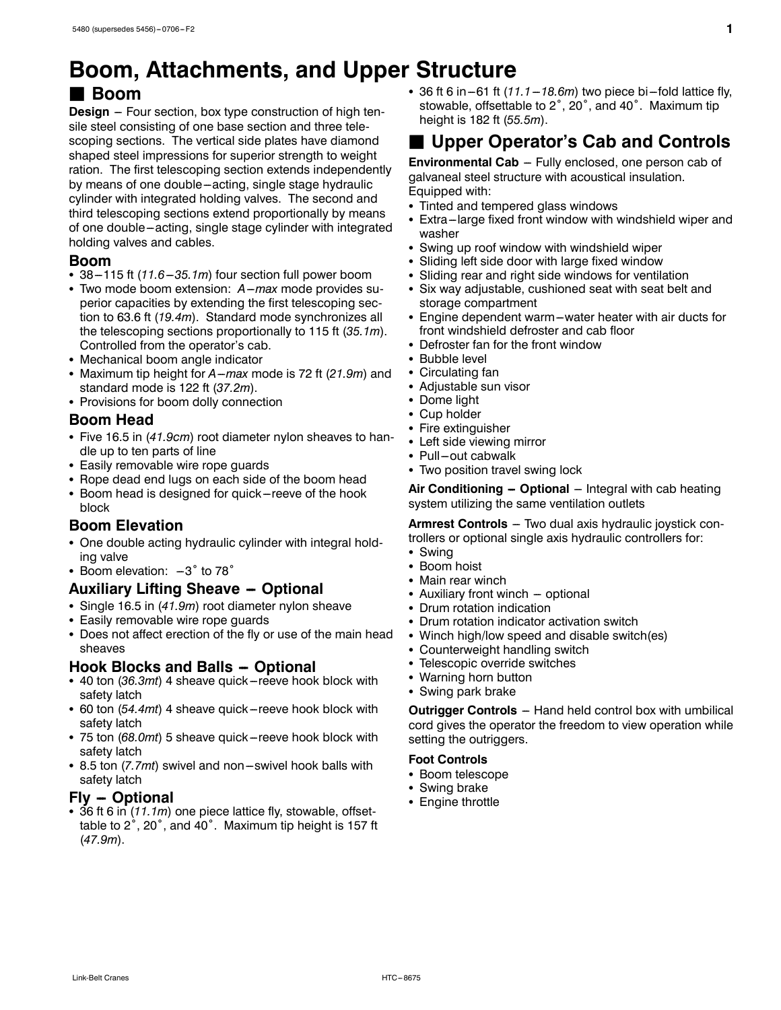# **Boom, Attachments, and Upper Structure**

### J **Boom**

**Design** -- Four section, box type construction of high tensile steel consisting of one base section and three telescoping sections. The vertical side plates have diamond shaped steel impressions for superior strength to weight ration. The first telescoping section extends independently by means of one double-acting, single stage hydraulic cylinder with integrated holding valves. The second and third telescoping sections extend proportionally by means of one double-acting, single stage cylinder with integrated holding valves and cables.

#### **Boom**

- $\cdot$  38 --115 ft (11.6 35.1m) four section full power boom
- Two mode boom extension: A-max mode provides superior capacities by extending the first telescoping section to 63.6 ft (*19.4m*). Standard mode synchronizes all the telescoping sections proportionally to 115 ft (*35.1m*). Controlled from the operator's cab.
- Mechanical boom angle indicator
- Maximum tip height for A-max mode is 72 ft (21.9m) and standard mode is 122 ft (*37.2m*).
- Provisions for boom dolly connection

#### **Boom Head**

- Five 16.5 in (41.9cm) root diameter nylon sheaves to handle up to ten parts of line
- Easily removable wire rope quards
- Rope dead end lugs on each side of the boom head
- Boom head is designed for quick-reeve of the hook block

#### **Boom Elevation**

- One double acting hydraulic cylinder with integral holding valve
- $\bullet$  Boom elevation:  $-3°$  to 78 $^\circ$

#### **Auxiliary Lifting Sheave - Optional**

- Single 16.5 in (41.9m) root diameter nylon sheave
- Easily removable wire rope guards
- Does not affect erection of the fly or use of the main head sheaves

#### **Hook Blocks and Balls - Optional**

- 40 ton (36.3mt) 4 sheave quick-reeve hook block with safety latch
- 60 ton (54.4mt) 4 sheave quick-reeve hook block with safety latch
- 75 ton (68.0mt) 5 sheave quick-reeve hook block with safety latch
- 8.5 ton (7.7mt) swivel and non-swivel hook balls with safety latch

#### **Fly - Optional**

• 36 ft 6 in (11.1m) one piece lattice fly, stowable, offsettable to 2˚, 20˚, and 40˚. Maximum tip height is 157 ft (*47.9m*).

 $\cdot$  36 ft 6 in -61 ft (11.1 - 18.6m) two piece bi -fold lattice fly, stowable, offsettable to 2˚, 20˚, and 40˚. Maximum tip height is 182 ft (*55.5m*).

# ■ Upper Operator's Cab and Controls

**Environmental Cab** - Fully enclosed, one person cab of galvaneal steel structure with acoustical insulation. Equipped with:

- Tinted and tempered glass windows
- Extra-large fixed front window with windshield wiper and washer
- Swing up roof window with windshield wiper
- Sliding left side door with large fixed window
- Sliding rear and right side windows for ventilation
- Six way adjustable, cushioned seat with seat belt and storage compartment
- Engine dependent warm-water heater with air ducts for front windshield defroster and cab floor
- Defroster fan for the front window
- Bubble level
- $\bullet$  Circulating fan
- Adjustable sun visor
- Dome light
- Cup holder
- Fire extinguisher
- Left side viewing mirror
- Pull-out cabwalk
- Two position travel swing lock

Air Conditioning - Optional -- Integral with cab heating system utilizing the same ventilation outlets

Armrest Controls - Two dual axis hydraulic joystick controllers or optional single axis hydraulic controllers for:

- Swina
- Boom hoist
- Main rear winch
- $\bullet$  Auxiliary front winch  $-$  optional
- Drum rotation indication
- Drum rotation indicator activation switch
- Winch high/low speed and disable switch(es)
- Counterweight handling switch
- Telescopic override switches
- Warning horn button
- Swing park brake

**Outrigger Controls** - Hand held control box with umbilical cord gives the operator the freedom to view operation while setting the outriggers.

#### **Foot Controls**

- Boom telescope
- Swing brake
- Engine throttle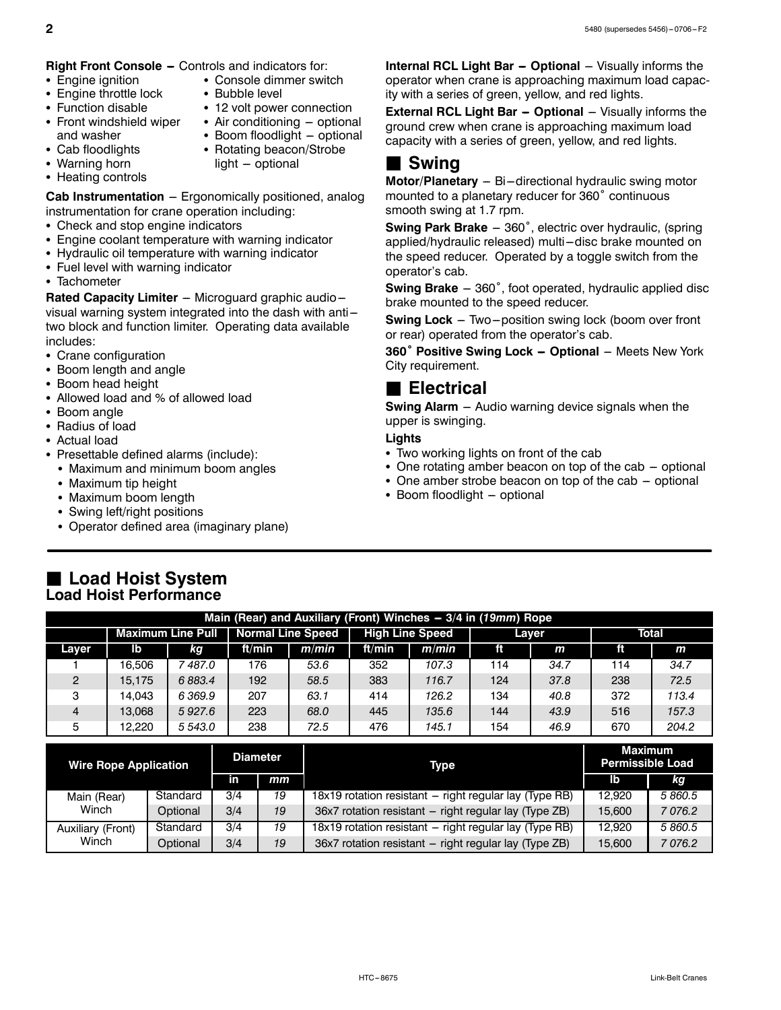#### **Right Front Console - Controls and indicators for:**

- Engine ignition Console dimmer switch
- Engine throttle lock Bubble level
- 
- and washer Boom floodlight --- optional
- Function disable 12 volt power connection
- Front windshield wiper Air conditioning  $-$  optional
	-
- 
- $\bullet$  Warning horn
- 
- Cab floodlights Rotating beacon/Strobe<br>• Warning horn by some light optional
- Heating controls

**Cab Instrumentation** -- Ergonomically positioned, analog instrumentation for crane operation including:

- Check and stop engine indicators
- Engine coolant temperature with warning indicator
- Hydraulic oil temperature with warning indicator
- Fuel level with warning indicator
- Tachometer

**Rated Capacity Limiter** -- Microguard graphic audio -visual warning system integrated into the dash with anti $$ two block and function limiter. Operating data available includes:

- Crane configuration
- Boom length and angle
- Boom head height
- Allowed load and % of allowed load
- Boom angle
- Radius of load
- Actual load
- Presettable defined alarms (include):
	- Maximum and minimum boom angles
	- Maximum tip height
	- Maximum boom length
	- Swing left/right positions
	- Operator defined area (imaginary plane)

**Internal RCL Light Bar - Optional** -- Visually informs the operator when crane is approaching maximum load capacity with a series of green, yellow, and red lights.

**External RCL Light Bar - Optional** - Visually informs the ground crew when crane is approaching maximum load capacity with a series of green, yellow, and red lights.

#### **■ Swing**

**Motor/Planetary** -- Bi--directional hydraulic swing motor mounted to a planetary reducer for 360˚ continuous smooth swing at 1.7 rpm.

**Swing Park Brake** - 360°, electric over hydraulic, (spring applied/hydraulic released) multi-disc brake mounted on the speed reducer. Operated by a toggle switch from the operator's cab.

**Swing Brake** - 360°, foot operated, hydraulic applied disc brake mounted to the speed reducer.

**Swing Lock** -- Two -- position swing lock (boom over front or rear) operated from the operator's cab.

**360° Positive Swing Lock - Optional** -- Meets New York City requirement.

### **Electrical**

**Swing Alarm** - Audio warning device signals when the upper is swinging.

#### **Lights**

- Two working lights on front of the cab
- One rotating amber beacon on top of the cab  $-$  optional
- One amber strobe beacon on top of the cab  $-$  optional
- $\bullet$  Boom floodlight  $-$  optional

#### J **Load Hoist System Load Hoist Performance**

| Main (Rear) and Auxiliary (Front) Winches - 3/4 in (19mm) Rope |                          |         |                          |       |                        |       |       |      |       |       |
|----------------------------------------------------------------|--------------------------|---------|--------------------------|-------|------------------------|-------|-------|------|-------|-------|
|                                                                | <b>Maximum Line Pull</b> |         | <b>Normal Line Speed</b> |       | <b>High Line Speed</b> |       | Laver |      | Total |       |
| Layer                                                          | lb                       | kg      | ft/min                   | m/min | ft/min                 | m/min | ft    | m    | ft    | m     |
|                                                                | 16.506                   | 7 487.0 | 176                      | 53.6  | 352                    | 107.3 | 114   | 34.7 | 114   | 34.7  |
| 2                                                              | 15.175                   | 6883.4  | 192 <sub>2</sub>         | 58.5  | 383                    | 116.7 | 124   | 37.8 | 238   | 72.5  |
| 3                                                              | 14.043                   | 6369.9  | 207                      | 63.1  | 414                    | 126.2 | 134   | 40.8 | 372   | 113.4 |
| $\overline{4}$                                                 | 13,068                   | 5927.6  | 223                      | 68.0  | 445                    | 135.6 | 144   | 43.9 | 516   | 157.3 |
| 5                                                              | 12.220                   | 5 543.0 | 238                      | 72.5  | 476                    | 145.1 | 154   | 46.9 | 670   | 204.2 |

| <b>Wire Rope Application</b> |          |     | <b>Diameter</b> | <b>Type</b>                                            | Maximum<br><b>Permissible Load</b> |        |  |
|------------------------------|----------|-----|-----------------|--------------------------------------------------------|------------------------------------|--------|--|
|                              |          | in. | mm              |                                                        | lb                                 | kg     |  |
| Main (Rear)                  | Standard | 3/4 | 19              | 18x19 rotation resistant – right regular lay (Type RB) | 12.920                             | 5860.5 |  |
| Winch                        | Optional | 3/4 | 19              | 36x7 rotation resistant - right regular lay (Type ZB)  | 15,600                             | 7076.2 |  |
| Auxiliary (Front)            | Standard | 3/4 | 19              | 18x19 rotation resistant - right regular lay (Type RB) | 12.920                             | 5860.5 |  |
| Winch                        | Optional | 3/4 | 19              | 36x7 rotation resistant - right regular lay (Type ZB)  | 15,600                             | 7076.2 |  |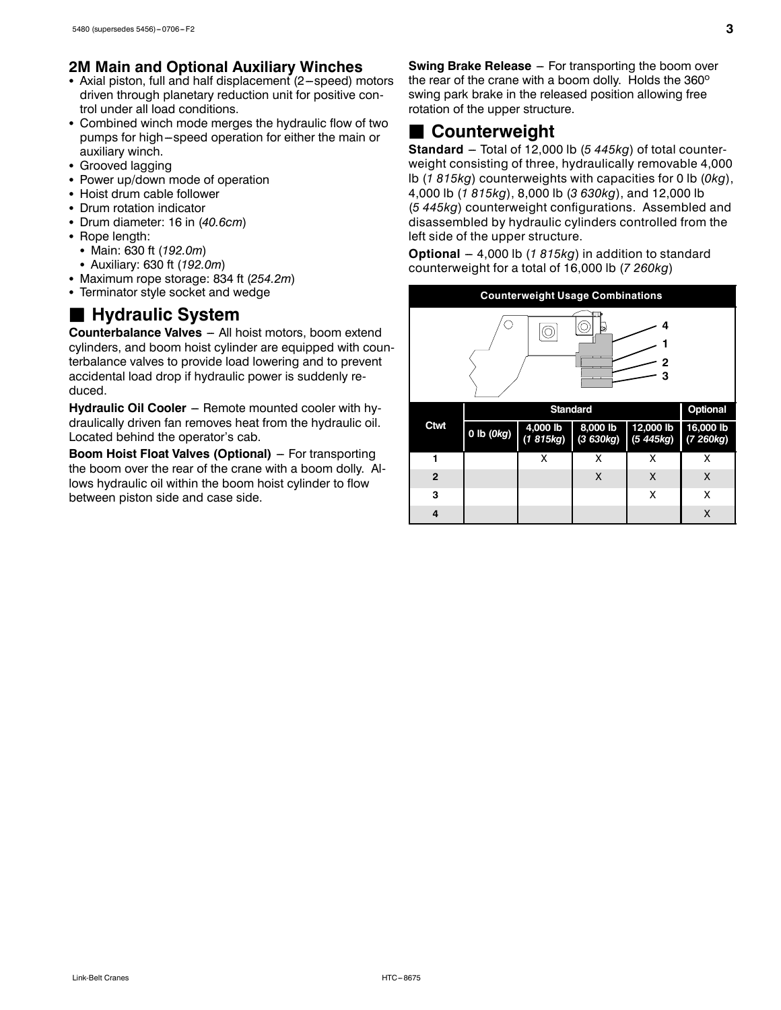#### **2M Main and Optional Auxiliary Winches**

- Axial piston, full and half displacement (2--speed) motors driven through planetary reduction unit for positive control under all load conditions.
- Combined winch mode merges the hydraulic flow of two pumps for high-speed operation for either the main or auxiliary winch.
- Grooved lagging
- Power up/down mode of operation
- $\bullet$  Hoist drum cable follower
- Drum rotation indicator
- Drum diameter: 16 in (40.6cm)
- $\bullet$  Rope length:
	- S Main: 630 ft (*192.0m*)
	- S Auxiliary: 630 ft (*192.0m*)
- Maximum rope storage: 834 ft (254.2m)
- Terminator style socket and wedge

#### J **Hydraulic System**

**Counterbalance Valves** -- All hoist motors, boom extend cylinders, and boom hoist cylinder are equipped with counterbalance valves to provide load lowering and to prevent accidental load drop if hydraulic power is suddenly reduced.

Hydraulic Oil Cooler -- Remote mounted cooler with hydraulically driven fan removes heat from the hydraulic oil. Located behind the operator's cab.

**Boom Hoist Float Valves (Optional)** - For transporting the boom over the rear of the crane with a boom dolly. Allows hydraulic oil within the boom hoist cylinder to flow between piston side and case side.

**Swing Brake Release** - For transporting the boom over the rear of the crane with a boom dolly. Holds the 360º swing park brake in the released position allowing free rotation of the upper structure.

#### **■ Counterweight**

**Standard** - Total of 12,000 lb (5 445kg) of total counterweight consisting of three, hydraulically removable 4,000 lb (*1 815kg*) counterweights with capacities for 0 lb (*0kg*), 4,000 lb (*1 815kg*), 8,000 lb (*3 630kg*), and 12,000 lb (*5 445kg*) counterweight configurations. Assembled and disassembled by hydraulic cylinders controlled from the left side of the upper structure.

**Optional** -- 4,000 lb (1 815kg) in addition to standard counterweight for a total of 16,000 lb (*7 260kg*)

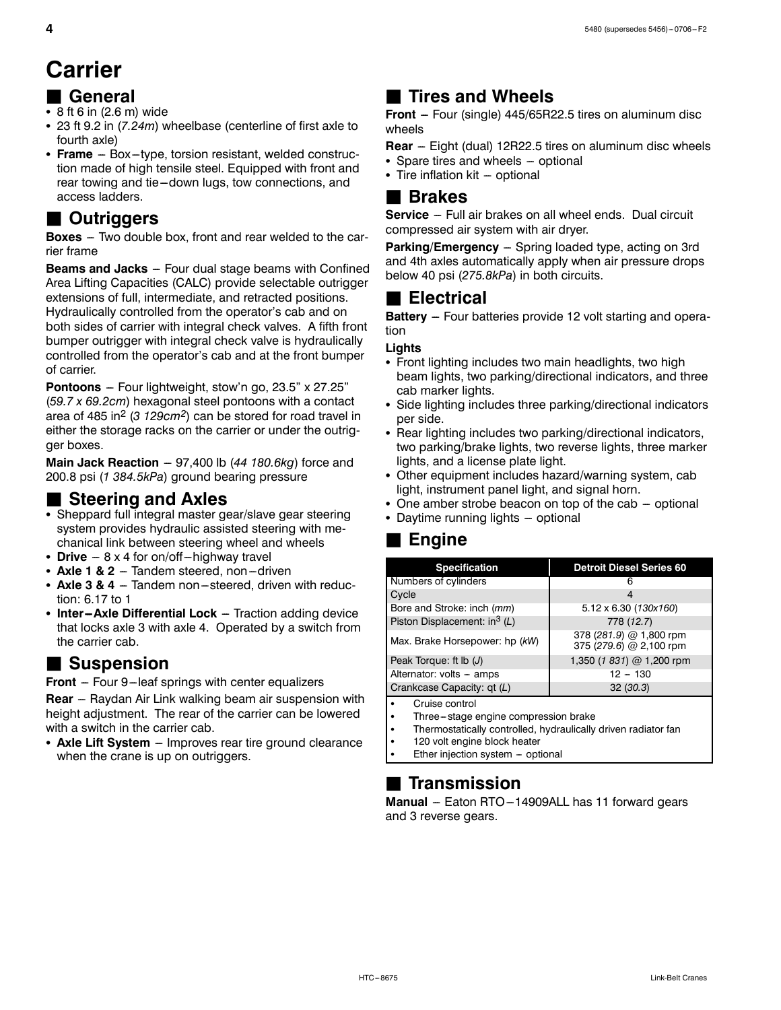# **Carrier**

#### J **General**

- $\bullet$  8 ft 6 in (2.6 m) wide
- 23 ft 9.2 in (7.24m) wheelbase (centerline of first axle to fourth axle)
- Frame -- Box-type, torsion resistant, welded construction made of high tensile steel. Equipped with front and rear towing and tie-down lugs, tow connections, and access ladders.

## **■ Outriggers**

**Boxes** - Two double box, front and rear welded to the carrier frame

**Beams and Jacks** -- Four dual stage beams with Confined Area Lifting Capacities (CALC) provide selectable outrigger extensions of full, intermediate, and retracted positions. Hydraulically controlled from the operator's cab and on both sides of carrier with integral check valves. A fifth front bumper outrigger with integral check valve is hydraulically controlled from the operator's cab and at the front bumper of carrier.

**Pontoons** -- Four lightweight, stow'n go, 23.5" x 27.25" (*59.7 x 69.2cm*) hexagonal steel pontoons with a contact area of 485 in<sup>2</sup> (*3 129cm2*) can be stored for road travel in either the storage racks on the carrier or under the outrigger boxes.

**Main Jack Reaction** -- 97,400 lb (44 180.6kg) force and 200.8 psi (*1 384.5kPa*) ground bearing pressure

- **Steering and Axles**<br>• Sheppard full integral master gear/slave gear steering system provides hydraulic assisted steering with mechanical link between steering wheel and wheels
- Drive  $-8 \times 4$  for on/off-highway travel
- Axle 1 & 2 -- Tandem steered, non--driven
- Axle 3 & 4 -- Tandem non-steered, driven with reduction: 6.17 to 1
- Inter-Axle Differential Lock Traction adding device that locks axle 3 with axle 4. Operated by a switch from the carrier cab.

#### J **Suspension**

**Front** - Four 9-leaf springs with center equalizers

**Rear** -- Raydan Air Link walking beam air suspension with height adjustment. The rear of the carrier can be lowered with a switch in the carrier cab.

• Axle Lift System -- Improves rear tire ground clearance when the crane is up on outriggers.

# ■ Tires and Wheels

**Front** - Four (single) 445/65R22.5 tires on aluminum disc wheels

**Rear** -- Eight (dual) 12R22.5 tires on aluminum disc wheels

- $\cdot$  Spare tires and wheels  $-$  optional
- $\bullet$  Tire inflation kit -- optional

#### **■ Brakes**

**Service** -- Full air brakes on all wheel ends. Dual circuit compressed air system with air dryer.

**Parking/Emergency** -- Spring loaded type, acting on 3rd and 4th axles automatically apply when air pressure drops below 40 psi (*275.8kPa*) in both circuits.

#### **■ Electrical**

**Battery** -- Four batteries provide 12 volt starting and operation

#### **Lights**

- Front lighting includes two main headlights, two high beam lights, two parking/directional indicators, and three cab marker lights.
- Side lighting includes three parking/directional indicators per side.
- Rear lighting includes two parking/directional indicators, two parking/brake lights, two reverse lights, three marker lights, and a license plate light.
- Other equipment includes hazard/warning system, cab light, instrument panel light, and signal horn.
- $\bullet$  One amber strobe beacon on top of the cab  $-$  optional
- $\bullet$  Daytime running lights  $-$  optional

#### **■ Engine**

| <b>Specification</b>                       | <b>Detroit Diesel Series 60</b>                    |
|--------------------------------------------|----------------------------------------------------|
| Numbers of cylinders                       | 6                                                  |
| Cycle                                      | 4                                                  |
| Bore and Stroke: inch (mm)                 | 5.12 x 6.30 (130x160)                              |
| Piston Displacement: in <sup>3</sup> $(L)$ | 778 (12.7)                                         |
| Max. Brake Horsepower: hp (kW)             | 378 (281.9) @ 1,800 rpm<br>375 (279.6) @ 2,100 rpm |
| Peak Torque: ft $ b \rangle$ (J)           | 1,350 (1 831) @ 1,200 rpm                          |
| Alternator: volts - amps                   | $12 - 130$                                         |
| Crankcase Capacity: qt (L)                 | 32(30.3)                                           |
| Cruise control                             |                                                    |

• Cruise control

- Three-stage engine compression brake
- Thermostatically controlled, hydraulically driven radiator fan
- 120 volt engine block heater
- Ether injection system  $-$  optional

#### J **Transmission**

Manual -- Eaton RTO -- 14909ALL has 11 forward gears and 3 reverse gears.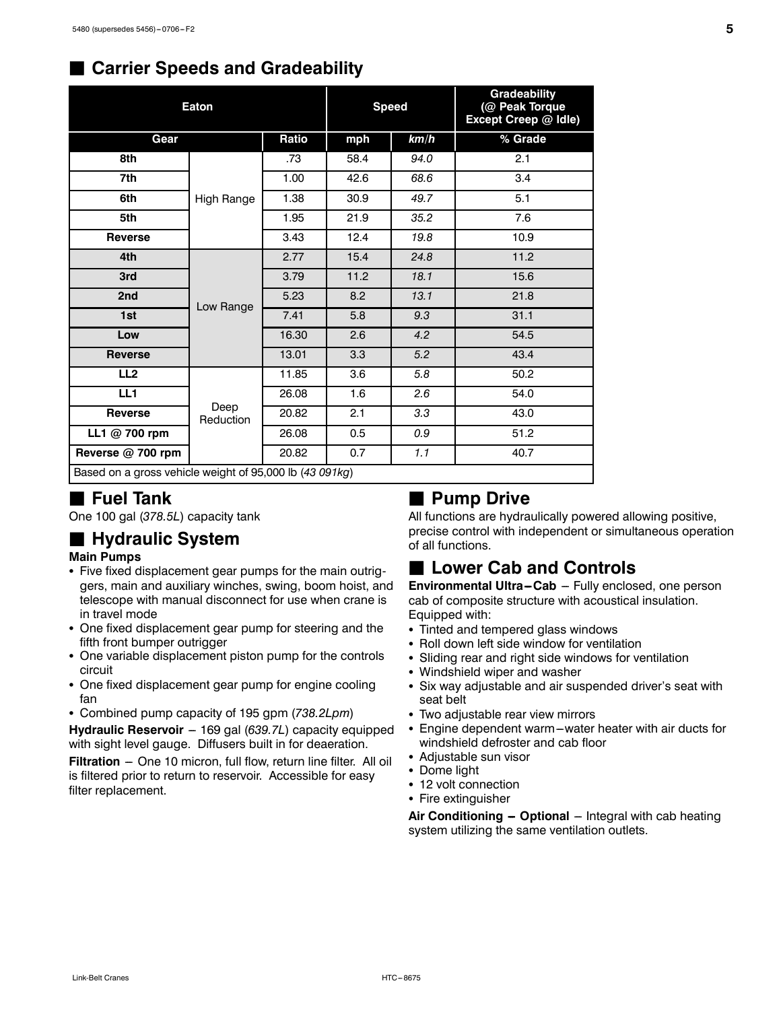### **Carrier Speeds and Gradeability**

| Eaton             |                   |       | <b>Speed</b> |      | Gradeability<br>(@ Peak Torque<br>Except Creep @ Idle) |
|-------------------|-------------------|-------|--------------|------|--------------------------------------------------------|
| Gear              |                   | Ratio | mph          | km/h | % Grade                                                |
| 8th               |                   | .73   | 58.4         | 94.0 | 2.1                                                    |
| 7th               |                   | 1.00  | 42.6         | 68.6 | 3.4                                                    |
| 6th               | <b>High Range</b> | 1.38  | 30.9         | 49.7 | 5.1                                                    |
| 5th               |                   | 1.95  | 21.9         | 35.2 | 7.6                                                    |
| <b>Reverse</b>    |                   | 3.43  | 12.4         | 19.8 | 10.9                                                   |
| 4th               |                   | 2.77  | 15.4         | 24.8 | 11.2                                                   |
| 3rd               |                   | 3.79  | 11.2         | 18.1 | 15.6                                                   |
| 2nd               | Low Range         | 5.23  | 8.2          | 13.1 | 21.8                                                   |
| 1st               |                   | 7.41  | 5.8          | 9.3  | 31.1                                                   |
| Low               |                   | 16.30 | 2.6          | 4.2  | 54.5                                                   |
| <b>Reverse</b>    |                   | 13.01 | 3.3          | 5.2  | 43.4                                                   |
| LL <sub>2</sub>   |                   | 11.85 | 3.6          | 5.8  | 50.2                                                   |
| LL1               |                   | 26.08 | 1.6          | 2.6  | 54.0                                                   |
| <b>Reverse</b>    | Deep<br>Reduction | 20.82 | 2.1          | 3.3  | 43.0                                                   |
| LL1 $@$ 700 rpm   |                   | 26.08 | 0.5          | 0.9  | 51.2                                                   |
| Reverse @ 700 rpm |                   | 20.82 | 0.7          | 1.1  | 40.7                                                   |

Based on a gross vehicle weight of 95,000 lb (*43 091kg*)

### J **Fuel Tank**

One 100 gal (*378.5L*) capacity tank

#### ■ Hydraulic System

#### **Main Pumps**

- Five fixed displacement gear pumps for the main outriggers, main and auxiliary winches, swing, boom hoist, and telescope with manual disconnect for use when crane is in travel mode
- One fixed displacement gear pump for steering and the fifth front bumper outrigger
- One variable displacement piston pump for the controls circuit
- One fixed displacement gear pump for engine cooling fan
- Combined pump capacity of 195 gpm (738.2Lpm)

**Hydraulic Reservoir** -- 169 gal (639.7L) capacity equipped with sight level gauge. Diffusers built in for deaeration.

**Filtration** - One 10 micron, full flow, return line filter. All oil is filtered prior to return to reservoir. Accessible for easy filter replacement.

#### **Pump Drive**

All functions are hydraulically powered allowing positive, precise control with independent or simultaneous operation of all functions.

#### ■ Lower Cab and Controls

**Environmental Ultra-Cab** - Fully enclosed, one person cab of composite structure with acoustical insulation. Equipped with:

- Tinted and tempered glass windows
- Roll down left side window for ventilation
- Sliding rear and right side windows for ventilation
- Windshield wiper and washer
- Six way adjustable and air suspended driver's seat with seat belt
- Two adjustable rear view mirrors
- Engine dependent warm-water heater with air ducts for windshield defroster and cab floor
- Adjustable sun visor
- Dome light
- 12 volt connection
- Fire extinguisher

Air Conditioning - Optional -- Integral with cab heating system utilizing the same ventilation outlets.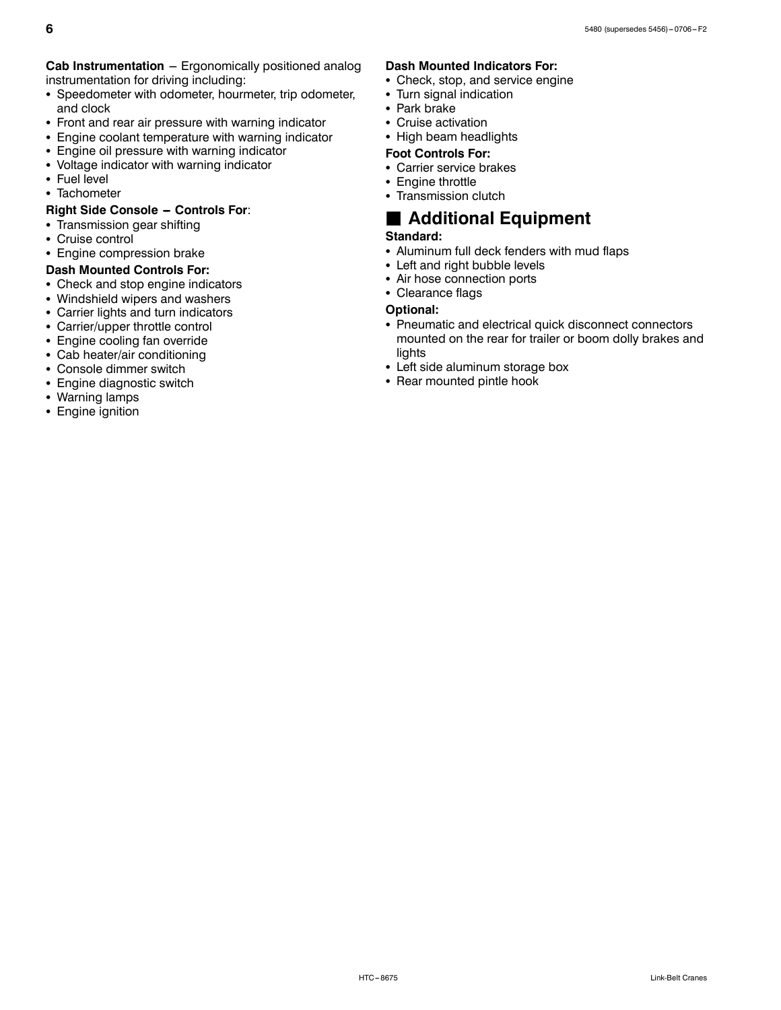**Cab Instrumentation** -- Ergonomically positioned analog instrumentation for driving including:

- Speedometer with odometer, hourmeter, trip odometer, and clock
- Front and rear air pressure with warning indicator
- Engine coolant temperature with warning indicator
- Engine oil pressure with warning indicator
- Voltage indicator with warning indicator
- $\cdot$  Fuel level
- Tachometer

#### **Right Side Console - Controls For:**

- Transmission gear shifting
- Cruise control
- Engine compression brake

#### **Dash Mounted Controls For:**

- Check and stop engine indicators
- Windshield wipers and washers
- Carrier lights and turn indicators
- Carrier/upper throttle control
- Engine cooling fan override
- Cab heater/air conditioning
- Console dimmer switch
- Engine diagnostic switch
- Warning lamps
- Engine ignition

#### **Dash Mounted Indicators For:**

- Check, stop, and service engine
- Turn signal indication
- $\bullet$  Park brake
- Cruise activation
- High beam headlights

#### **Foot Controls For:**

- Carrier service brakes
- Engine throttle
- Transmission clutch

#### **Additional Equipment**

#### **Standard:**

- Aluminum full deck fenders with mud flaps
- Left and right bubble levels
- Air hose connection ports
- Clearance flags

#### **Optional:**

- Pneumatic and electrical quick disconnect connectors mounted on the rear for trailer or boom dolly brakes and lights
- Left side aluminum storage box
- Rear mounted pintle hook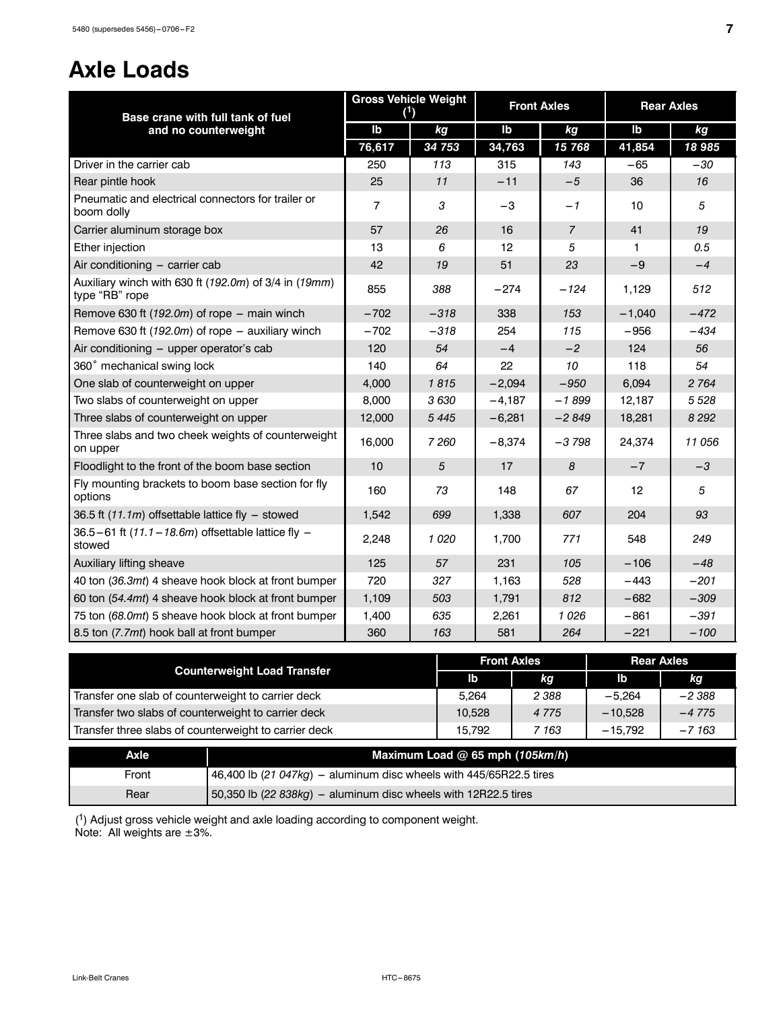# **Axle Loads**

| Base crane with full tank of fuel                                       | <b>Gross Vehicle Weight</b><br>(1) |         | <b>Front Axles</b> |                | <b>Rear Axles</b>         |         |  |
|-------------------------------------------------------------------------|------------------------------------|---------|--------------------|----------------|---------------------------|---------|--|
| and no counterweight                                                    | Ib                                 | kg      | lb                 | kg             | $\mathsf{I}^{\mathsf{b}}$ | kg      |  |
|                                                                         | 76,617                             | 34 753  | 34,763             | 15 768         | 41,854                    | 18 985  |  |
| Driver in the carrier cab                                               | 250                                | 113     | 315                | 143            | $-65$                     | -30     |  |
| Rear pintle hook                                                        | 25                                 | 11      | $-11$              | $-5$           | 36                        | 16      |  |
| Pneumatic and electrical connectors for trailer or<br>boom dolly        | $\overline{7}$                     | 3       | $-3$               | $-1$           | 10                        | 5       |  |
| Carrier aluminum storage box                                            | 57                                 | 26      | 16                 | $\overline{7}$ | 41                        | 19      |  |
| Ether injection                                                         | 13                                 | 6       | 12                 | 5              | 1                         | 0.5     |  |
| Air conditioning - carrier cab                                          | 42                                 | 19      | 51                 | 23             | $-9$                      | $-4$    |  |
| Auxiliary winch with 630 ft (192.0m) of 3/4 in (19mm)<br>type "RB" rope | 855                                | 388     | -274               | $-124$         | 1,129                     | 512     |  |
| Remove 630 ft (192.0m) of rope $-$ main winch                           | $-702$                             | $-318$  | 338                | 153            | $-1,040$                  | $-472$  |  |
| Remove 630 ft (192.0m) of rope $-$ auxiliary winch                      | $-702$                             | $-318$  | 254                | 115            | $-956$                    | $-434$  |  |
| Air conditioning - upper operator's cab                                 | 120                                | 54      | $-4$               | $-2$           | 124                       | 56      |  |
| 360° mechanical swing lock                                              | 140                                | 64      | 22                 | 10             | 118                       | 54      |  |
| One slab of counterweight on upper                                      | 4,000                              | 1815    | $-2,094$           | $-950$         | 6,094                     | 2 7 6 4 |  |
| Two slabs of counterweight on upper                                     | 8,000                              | 3630    | $-4,187$           | $-1899$        | 12,187                    | 5 5 28  |  |
| Three slabs of counterweight on upper                                   | 12,000                             | 5445    | $-6,281$           | $-2849$        | 18,281                    | 8 2 9 2 |  |
| Three slabs and two cheek weights of counterweight<br>on upper          | 16,000                             | 7 2 6 0 | $-8,374$           | -3 798         | 24,374                    | 11056   |  |
| Floodlight to the front of the boom base section                        | 10                                 | 5       | 17                 | 8              | $-7$                      | $-3$    |  |
| Fly mounting brackets to boom base section for fly<br>options           | 160                                | 73      | 148                | 67             | 12                        | 5       |  |
| 36.5 ft (11.1m) offsettable lattice fly $-$ stowed                      | 1,542                              | 699     | 1,338              | 607            | 204                       | 93      |  |
| 36.5-61 ft (11.1-18.6m) offsettable lattice fly -<br>stowed             | 2,248                              | 1020    | 1,700              | 771            | 548                       | 249     |  |
| Auxiliary lifting sheave                                                | 125                                | 57      | 231                | 105            | $-106$                    | $-48$   |  |
| 40 ton (36.3mt) 4 sheave hook block at front bumper                     | 720                                | 327     | 1.163              | 528            | $-443$                    | $-201$  |  |
| 60 ton (54.4mt) 4 sheave hook block at front bumper                     | 1,109                              | 503     | 1,791              | 812            | $-682$                    | $-309$  |  |
| 75 ton (68.0mt) 5 sheave hook block at front bumper                     | 1,400                              | 635     | 2,261              | 1026           | $-861$                    | $-391$  |  |
| 8.5 ton (7.7mt) hook ball at front bumper                               | 360                                | 163     | 581                | 264            | $-221$                    | $-100$  |  |

|                                                       | <b>Front Axles</b> |           | <b>Rear Axles</b> |          |  |
|-------------------------------------------------------|--------------------|-----------|-------------------|----------|--|
| <b>Counterweight Load Transfer</b>                    | -lb                | <b>kg</b> | lb                | kg       |  |
| Transfer one slab of counterweight to carrier deck    | 5.264              | 2 3 8 8   | $-5.264$          | $-2.388$ |  |
| Transfer two slabs of counterweight to carrier deck   | 10.528             | 4 7 7 5   | $-10.528$         | $-4775$  |  |
| Transfer three slabs of counterweight to carrier deck | 15.792             | 7 163     | $-15.792$         | $-7163$  |  |
|                                                       |                    |           |                   |          |  |

| Axle  | Maximum Load $@$ 65 mph (105km/h)                                            |
|-------|------------------------------------------------------------------------------|
| Front | 46,400 lb $(21.047 \text{kg})$ – aluminum disc wheels with 445/65R22.5 tires |
| Rear  | 50,350 lb (22 $838kq$ ) – aluminum disc wheels with 12R22.5 tires            |

(1) Adjust gross vehicle weight and axle loading according to component weight. Note: All weights are  $\pm 3\%$ .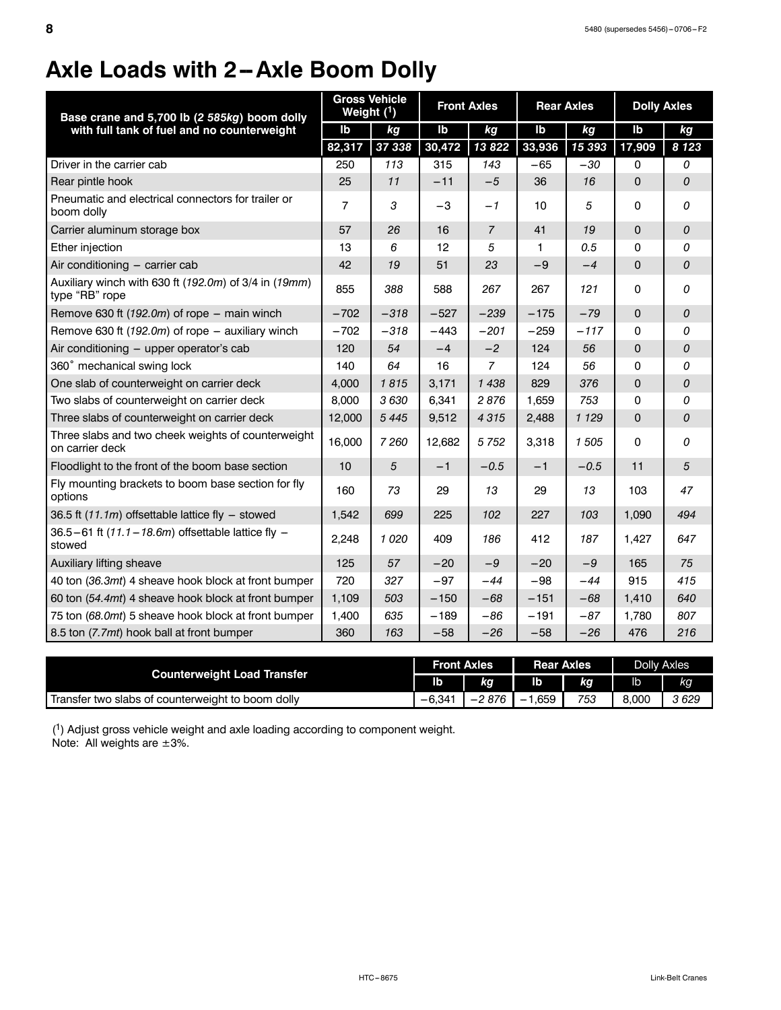# **Axle Loads with 2-Axle Boom Dolly**

| Base crane and 5,700 lb (2 585kg) boom dolly                            | <b>Gross Vehicle</b><br>Weight $(1)$ |         | <b>Front Axles</b> |                | <b>Rear Axles</b> |         | <b>Dolly Axles</b> |                  |
|-------------------------------------------------------------------------|--------------------------------------|---------|--------------------|----------------|-------------------|---------|--------------------|------------------|
| with full tank of fuel and no counterweight                             | lb                                   | kg      | lb                 | kg             | lb                | kg      | lb                 | kg               |
|                                                                         | 82,317                               | 37 338  | 30,472             | 13822          | 33,936            | 15 393  | 17,909             | 8 1 2 3          |
| Driver in the carrier cab                                               | 250                                  | 113     | 315                | 143            | $-65$             | -30     | 0                  | 0                |
| Rear pintle hook                                                        | 25                                   | 11      | $-11$              | $-5$           | 36                | 16      | $\mathbf{0}$       | $\boldsymbol{0}$ |
| Pneumatic and electrical connectors for trailer or<br>boom dolly        | $\overline{7}$                       | 3       | -3                 | $-1$           | 10                | 5       | 0                  | 0                |
| Carrier aluminum storage box                                            | 57                                   | 26      | 16                 | $\overline{7}$ | 41                | 19      | $\mathbf{0}$       | $\boldsymbol{0}$ |
| Ether injection                                                         | 13                                   | 6       | 12                 | 5              | $\mathbf{1}$      | 0.5     | $\Omega$           | $\Omega$         |
| Air conditioning - carrier cab                                          | 42                                   | 19      | 51                 | 23             | $-9$              | $-4$    | $\Omega$           | $\Omega$         |
| Auxiliary winch with 630 ft (192.0m) of 3/4 in (19mm)<br>type "RB" rope | 855                                  | 388     | 588                | 267            | 267               | 121     | $\Omega$           | $\Omega$         |
| Remove 630 ft (192.0m) of rope $-$ main winch                           | $-702$                               | $-318$  | $-527$             | $-239$         | $-175$            | $-79$   | $\mathbf{0}$       | $\Omega$         |
| Remove 630 ft (192.0m) of rope - auxiliary winch                        | $-702$                               | $-318$  | $-443$             | $-201$         | $-259$            | $-117$  | 0                  | 0                |
| Air conditioning - upper operator's cab                                 | 120                                  | 54      | $-4$               | $-2$           | 124               | 56      | $\Omega$           | $\boldsymbol{0}$ |
| 360° mechanical swing lock                                              | 140                                  | 64      | 16                 | $\overline{7}$ | 124               | 56      | $\Omega$           | $\Omega$         |
| One slab of counterweight on carrier deck                               | 4,000                                | 1815    | 3,171              | 1 4 3 8        | 829               | 376     | $\mathbf{0}$       | 0                |
| Two slabs of counterweight on carrier deck                              | 8,000                                | 3630    | 6,341              | 2876           | 1,659             | 753     | 0                  | 0                |
| Three slabs of counterweight on carrier deck                            | 12,000                               | 5445    | 9,512              | 4315           | 2,488             | 1 1 2 9 | $\mathbf{0}$       | $\Omega$         |
| Three slabs and two cheek weights of counterweight<br>on carrier deck   | 16,000                               | 7 2 6 0 | 12.682             | 5752           | 3.318             | 1505    | $\Omega$           | 0                |
| Floodlight to the front of the boom base section                        | 10                                   | 5       | $-1$               | $-0.5$         | $-1$              | $-0.5$  | 11                 | 5                |
| Fly mounting brackets to boom base section for fly<br>options           | 160                                  | 73      | 29                 | 13             | 29                | 13      | 103                | 47               |
| 36.5 ft (11.1m) offsettable lattice fly - stowed                        | 1,542                                | 699     | 225                | 102            | 227               | 103     | 1,090              | 494              |
| 36.5-61 ft (11.1-18.6m) offsettable lattice fly -<br>stowed             | 2,248                                | 1020    | 409                | 186            | 412               | 187     | 1,427              | 647              |
| Auxiliary lifting sheave                                                | 125                                  | 57      | $-20$              | $-9$           | $-20$             | $-9$    | 165                | 75               |
| 40 ton (36.3mt) 4 sheave hook block at front bumper                     | 720                                  | 327     | $-97$              | $-44$          | $-98$             | $-44$   | 915                | 415              |
| 60 ton (54.4mt) 4 sheave hook block at front bumper                     | 1.109                                | 503     | $-150$             | $-68$          | $-151$            | $-68$   | 1.410              | 640              |
| 75 ton (68.0mt) 5 sheave hook block at front bumper                     | 1,400                                | 635     | $-189$             | $-86$          | $-191$            | $-87$   | 1,780              | 807              |
| 8.5 ton (7.7mt) hook ball at front bumper                               | 360                                  | 163     | $-58$              | $-26$          | $-58$             | $-26$   | 476                | 216              |

| <b>Counterweight Load Transfer</b>                |          | <b>Front Axles</b> |                           | <b>Rear Axles</b> |       | Dolly Axles |  |
|---------------------------------------------------|----------|--------------------|---------------------------|-------------------|-------|-------------|--|
|                                                   |          | kg                 | $\mathsf{I}^{\mathsf{b}}$ | kg.               |       | kg          |  |
| Transfer two slabs of counterweight to boom dolly | $-6.341$ | -2 876             | 1.659                     | 753               | 8.000 | 3 629       |  |

(1) Adjust gross vehicle weight and axle loading according to component weight. Note: All weights are  $\pm 3\%$ .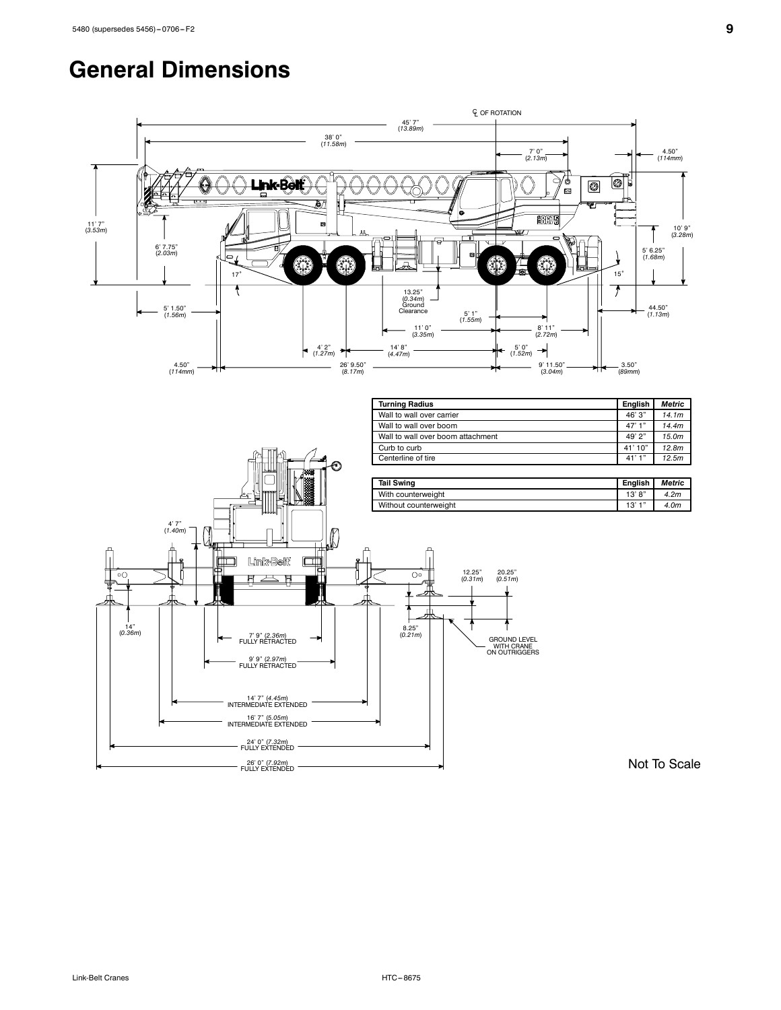# **General Dimensions**

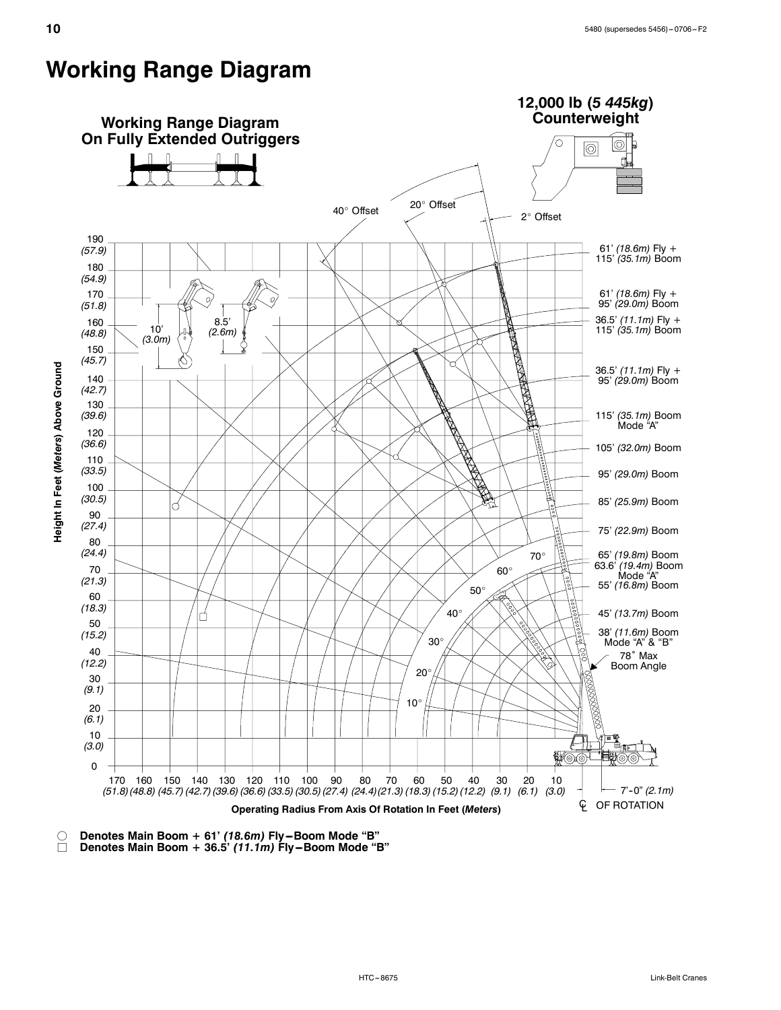



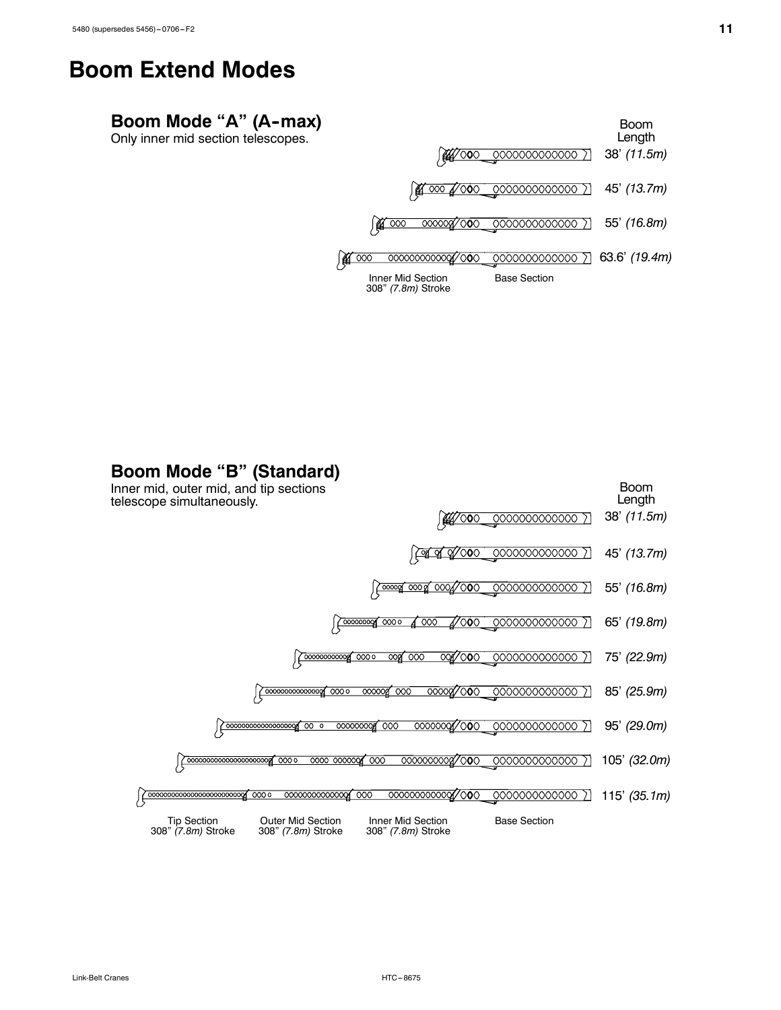# **Boom Extend Modes**

| Boom Mode "A" (A-max)<br>Only inner mid section telescopes. | ′०००                                                | 0000000000000                        | <b>Boom</b><br>Length<br>38' (11.5m) |
|-------------------------------------------------------------|-----------------------------------------------------|--------------------------------------|--------------------------------------|
|                                                             | ∕000<br>000                                         | 000000000000                         | 45' (13.7m)                          |
|                                                             | 网<br>$\overline{000000}/000$<br>$\infty$            | 0000000000000                        | 55' (16.8m)                          |
|                                                             | 畜<br>000<br>Inner Mid Section<br>308" (7.8m) Stroke | 0000000000000<br><b>Base Section</b> | 63.6' (19.4m)                        |
|                                                             |                                                     |                                      |                                      |

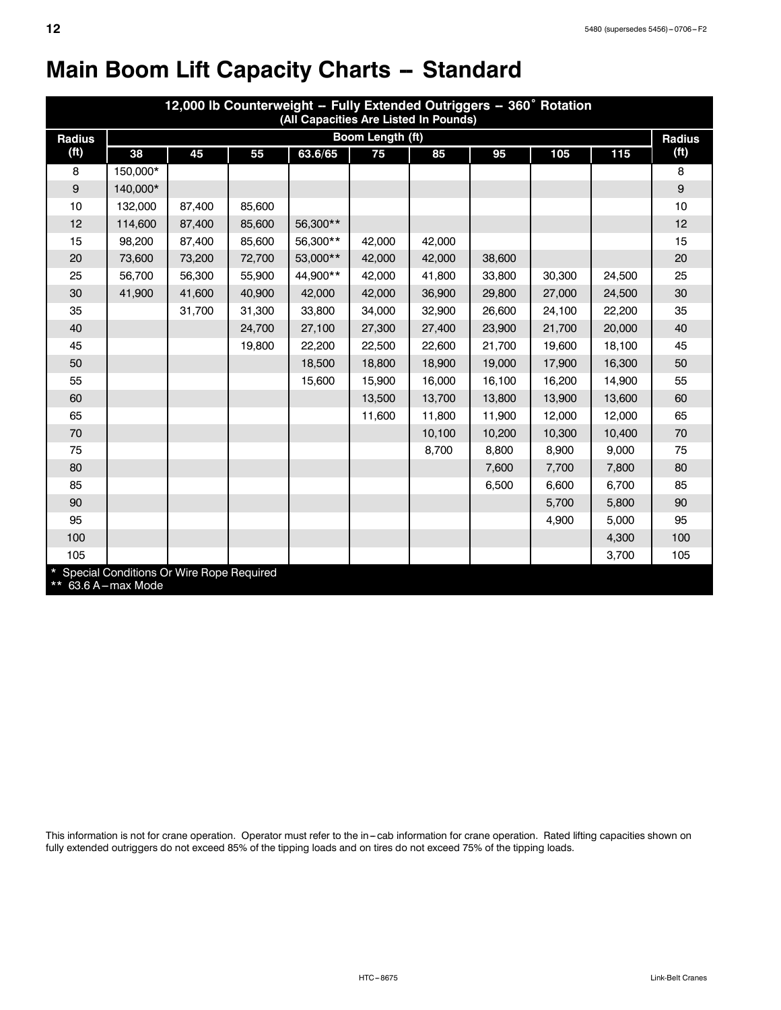|                   | 12,000 lb Counterweight - Fully Extended Outriggers - 360° Rotation<br>(All Capacities Are Listed In Pounds) |        |        |          |                         |        |        |        |        |                   |
|-------------------|--------------------------------------------------------------------------------------------------------------|--------|--------|----------|-------------------------|--------|--------|--------|--------|-------------------|
| Radius            |                                                                                                              |        |        |          | <b>Boom Length (ft)</b> |        |        |        |        | Radius            |
| (f <sup>t</sup> ) | 38                                                                                                           | 45     | 55     | 63.6/65  | 75                      | 85     | 95     | 105    | 115    | (f <sup>t</sup> ) |
| 8                 | 150,000*                                                                                                     |        |        |          |                         |        |        |        |        | 8                 |
| 9                 | 140,000*                                                                                                     |        |        |          |                         |        |        |        |        | 9                 |
| 10                | 132,000                                                                                                      | 87,400 | 85,600 |          |                         |        |        |        |        | 10                |
| 12                | 114,600                                                                                                      | 87,400 | 85,600 | 56.300** |                         |        |        |        |        | 12                |
| 15                | 98,200                                                                                                       | 87,400 | 85,600 | 56.300** | 42,000                  | 42,000 |        |        |        | 15                |
| 20                | 73,600                                                                                                       | 73,200 | 72,700 | 53,000** | 42,000                  | 42,000 | 38,600 |        |        | 20                |
| 25                | 56.700                                                                                                       | 56,300 | 55,900 | 44.900** | 42,000                  | 41,800 | 33,800 | 30,300 | 24.500 | 25                |
| 30                | 41,900                                                                                                       | 41,600 | 40,900 | 42,000   | 42,000                  | 36,900 | 29,800 | 27,000 | 24,500 | 30                |
| 35                |                                                                                                              | 31,700 | 31,300 | 33,800   | 34,000                  | 32,900 | 26,600 | 24,100 | 22,200 | 35                |
| 40                |                                                                                                              |        | 24,700 | 27,100   | 27,300                  | 27,400 | 23,900 | 21,700 | 20,000 | 40                |
| 45                |                                                                                                              |        | 19,800 | 22.200   | 22.500                  | 22,600 | 21,700 | 19.600 | 18,100 | 45                |
| 50                |                                                                                                              |        |        | 18,500   | 18,800                  | 18,900 | 19,000 | 17,900 | 16,300 | 50                |
| 55                |                                                                                                              |        |        | 15,600   | 15,900                  | 16,000 | 16,100 | 16,200 | 14,900 | 55                |
| 60                |                                                                                                              |        |        |          | 13,500                  | 13,700 | 13,800 | 13,900 | 13,600 | 60                |
| 65                |                                                                                                              |        |        |          | 11,600                  | 11,800 | 11,900 | 12,000 | 12,000 | 65                |
| 70                |                                                                                                              |        |        |          |                         | 10,100 | 10,200 | 10,300 | 10,400 | 70                |
| 75                |                                                                                                              |        |        |          |                         | 8,700  | 8.800  | 8,900  | 9.000  | 75                |
| 80                |                                                                                                              |        |        |          |                         |        | 7,600  | 7,700  | 7,800  | 80                |
| 85                |                                                                                                              |        |        |          |                         |        | 6,500  | 6,600  | 6,700  | 85                |
| 90                |                                                                                                              |        |        |          |                         |        |        | 5,700  | 5,800  | 90                |
| 95                |                                                                                                              |        |        |          |                         |        |        | 4,900  | 5,000  | 95                |
| 100               |                                                                                                              |        |        |          |                         |        |        |        | 4,300  | 100               |
| 105               |                                                                                                              |        |        |          |                         |        |        |        | 3,700  | 105               |
| ¥                 | Special Conditions Or Wire Rope Required                                                                     |        |        |          |                         |        |        |        |        |                   |

# **Main Boom Lift Capacity Charts - Standard**

 $63.6$  A -- max Mode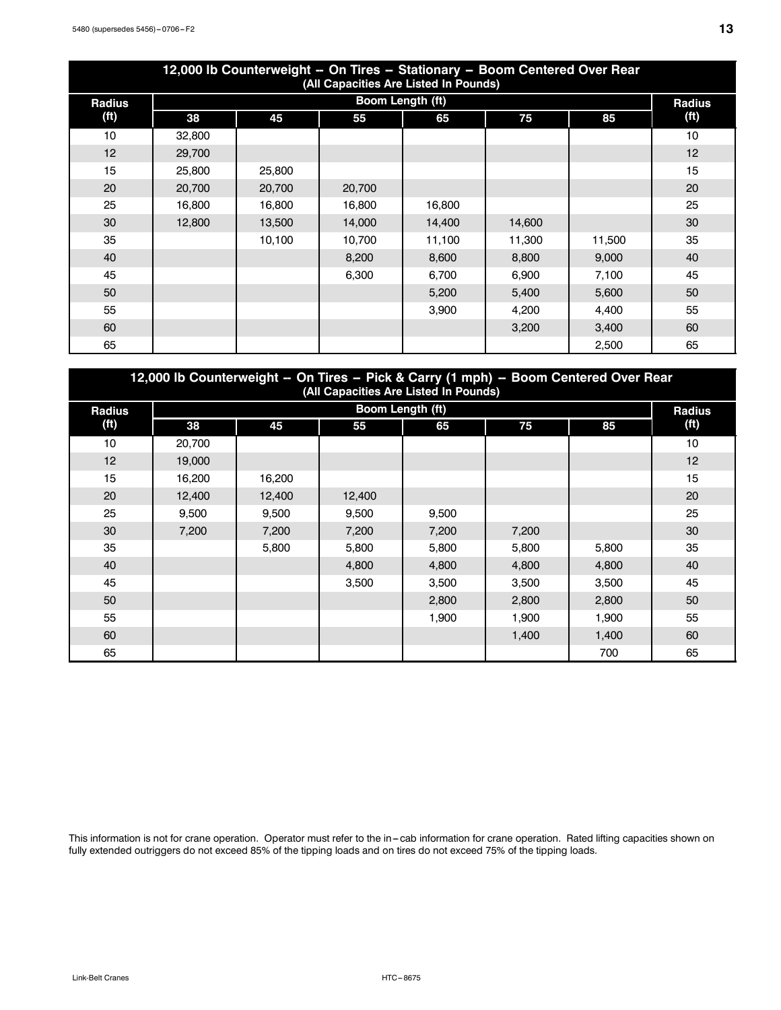| 12,000 lb Counterweight -- On Tires -- Stationary -- Boom Centered Over Rear<br>(All Capacities Are Listed In Pounds) |                  |        |        |        |        |        |                   |  |  |  |
|-----------------------------------------------------------------------------------------------------------------------|------------------|--------|--------|--------|--------|--------|-------------------|--|--|--|
| <b>Radius</b>                                                                                                         | Boom Length (ft) |        |        |        |        |        |                   |  |  |  |
| (f <sup>t</sup> )                                                                                                     | 38               | 45     | 55     | 65     | 75     | 85     | (t <sup>t</sup> ) |  |  |  |
| 10                                                                                                                    | 32,800           |        |        |        |        |        | 10                |  |  |  |
| 12 <sup>2</sup>                                                                                                       | 29,700           |        |        |        |        |        | 12                |  |  |  |
| 15                                                                                                                    | 25,800           | 25,800 |        |        |        |        | 15                |  |  |  |
| 20                                                                                                                    | 20,700           | 20,700 | 20,700 |        |        |        | 20                |  |  |  |
| 25                                                                                                                    | 16,800           | 16,800 | 16,800 | 16,800 |        |        | 25                |  |  |  |
| 30                                                                                                                    | 12,800           | 13,500 | 14,000 | 14,400 | 14,600 |        | 30                |  |  |  |
| 35                                                                                                                    |                  | 10,100 | 10,700 | 11,100 | 11,300 | 11,500 | 35                |  |  |  |
| 40                                                                                                                    |                  |        | 8,200  | 8,600  | 8,800  | 9,000  | 40                |  |  |  |
| 45                                                                                                                    |                  |        | 6,300  | 6,700  | 6,900  | 7,100  | 45                |  |  |  |
| 50                                                                                                                    |                  |        |        | 5,200  | 5,400  | 5,600  | 50                |  |  |  |
| 55                                                                                                                    |                  |        |        | 3,900  | 4,200  | 4,400  | 55                |  |  |  |
| 60                                                                                                                    |                  |        |        |        | 3,200  | 3,400  | 60                |  |  |  |
| 65                                                                                                                    |                  |        |        |        |        | 2,500  | 65                |  |  |  |

#### **12,000 lb Counterweight -- On Tires -- Pick & Carry (1 mph) -- Boom Centered Over Rear (All Capacities Are Listed In Pounds)**

| Radius            |        |        |        | Radius |       |       |                   |
|-------------------|--------|--------|--------|--------|-------|-------|-------------------|
| (f <sup>t</sup> ) | 38     | 45     | 55     | 65     | 75    | 85    | (t <sup>t</sup> ) |
| 10                | 20,700 |        |        |        |       |       | 10                |
| 12                | 19,000 |        |        |        |       |       | 12                |
| 15                | 16,200 | 16,200 |        |        |       |       | 15                |
| 20                | 12,400 | 12,400 | 12,400 |        |       |       | 20                |
| 25                | 9,500  | 9,500  | 9,500  | 9,500  |       |       | 25                |
| 30                | 7,200  | 7,200  | 7,200  | 7,200  | 7,200 |       | 30                |
| 35                |        | 5,800  | 5,800  | 5,800  | 5,800 | 5,800 | 35                |
| 40                |        |        | 4,800  | 4,800  | 4,800 | 4,800 | 40                |
| 45                |        |        | 3,500  | 3,500  | 3,500 | 3,500 | 45                |
| 50                |        |        |        | 2,800  | 2,800 | 2,800 | 50                |
| 55                |        |        |        | 1,900  | 1,900 | 1,900 | 55                |
| 60                |        |        |        |        | 1,400 | 1,400 | 60                |
| 65                |        |        |        |        |       | 700   | 65                |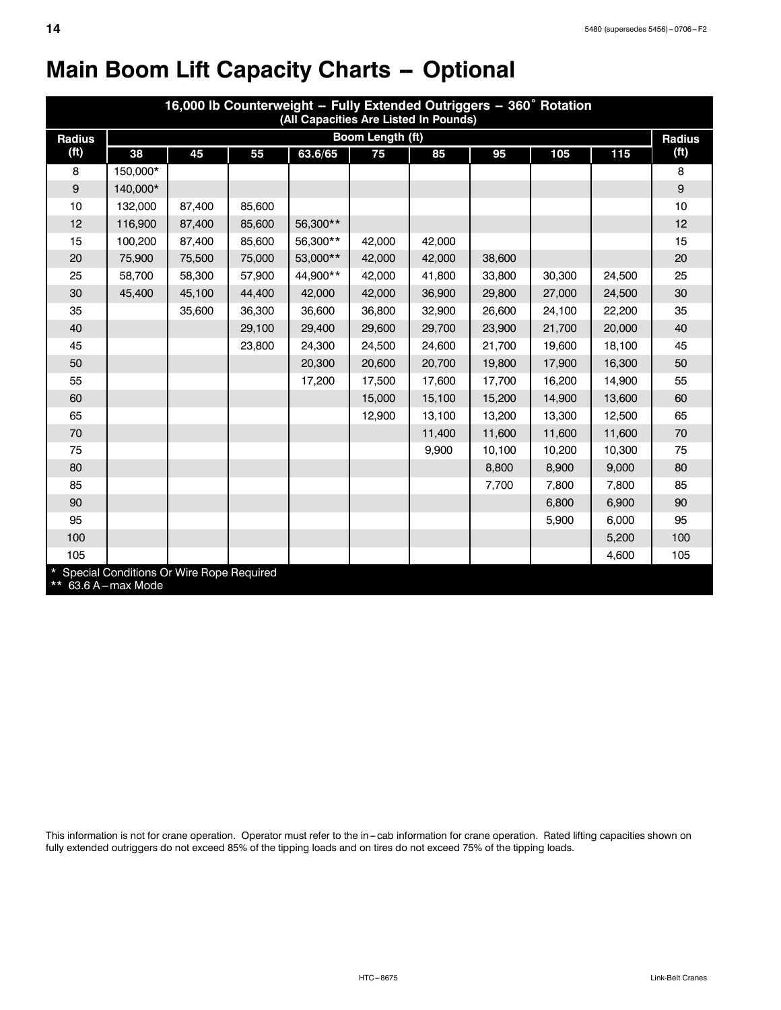|                   | 16,000 lb Counterweight - Fully Extended Outriggers - 360° Rotation |        |        |                                       |                  |        |        |        |        |                   |
|-------------------|---------------------------------------------------------------------|--------|--------|---------------------------------------|------------------|--------|--------|--------|--------|-------------------|
|                   |                                                                     |        |        | (All Capacities Are Listed In Pounds) |                  |        |        |        |        | Radius            |
| Radius            |                                                                     |        |        |                                       | Boom Length (ft) |        |        |        |        |                   |
| (f <sup>t</sup> ) | 38                                                                  | 45     | 55     | 63.6/65                               | 75               | 85     | 95     | 105    | 115    | (f <sup>t</sup> ) |
| 8                 | 150,000*                                                            |        |        |                                       |                  |        |        |        |        | 8                 |
| 9                 | 140,000*                                                            |        |        |                                       |                  |        |        |        |        | $\boldsymbol{9}$  |
| 10                | 132,000                                                             | 87,400 | 85,600 |                                       |                  |        |        |        |        | 10                |
| 12                | 116,900                                                             | 87,400 | 85,600 | 56,300**                              |                  |        |        |        |        | 12                |
| 15                | 100,200                                                             | 87,400 | 85,600 | 56,300**                              | 42,000           | 42,000 |        |        |        | 15                |
| 20                | 75,900                                                              | 75,500 | 75,000 | 53,000**                              | 42,000           | 42,000 | 38,600 |        |        | 20                |
| 25                | 58.700                                                              | 58,300 | 57,900 | 44.900**                              | 42.000           | 41.800 | 33,800 | 30,300 | 24.500 | 25                |
| 30                | 45,400                                                              | 45,100 | 44,400 | 42,000                                | 42,000           | 36,900 | 29,800 | 27,000 | 24,500 | 30                |
| 35                |                                                                     | 35,600 | 36,300 | 36,600                                | 36,800           | 32,900 | 26,600 | 24,100 | 22,200 | 35                |
| 40                |                                                                     |        | 29,100 | 29,400                                | 29,600           | 29,700 | 23,900 | 21,700 | 20,000 | 40                |
| 45                |                                                                     |        | 23,800 | 24,300                                | 24,500           | 24,600 | 21,700 | 19,600 | 18,100 | 45                |
| 50                |                                                                     |        |        | 20,300                                | 20,600           | 20,700 | 19,800 | 17,900 | 16,300 | 50                |
| 55                |                                                                     |        |        | 17,200                                | 17,500           | 17,600 | 17,700 | 16,200 | 14,900 | 55                |
| 60                |                                                                     |        |        |                                       | 15,000           | 15,100 | 15,200 | 14,900 | 13,600 | 60                |
| 65                |                                                                     |        |        |                                       | 12.900           | 13,100 | 13,200 | 13,300 | 12,500 | 65                |
| 70                |                                                                     |        |        |                                       |                  | 11,400 | 11,600 | 11,600 | 11,600 | 70                |
| 75                |                                                                     |        |        |                                       |                  | 9,900  | 10,100 | 10,200 | 10,300 | 75                |
| 80                |                                                                     |        |        |                                       |                  |        | 8.800  | 8.900  | 9.000  | 80                |
| 85                |                                                                     |        |        |                                       |                  |        | 7,700  | 7,800  | 7,800  | 85                |
| 90                |                                                                     |        |        |                                       |                  |        |        | 6,800  | 6,900  | 90                |
| 95                |                                                                     |        |        |                                       |                  |        |        | 5,900  | 6,000  | 95                |
| 100               |                                                                     |        |        |                                       |                  |        |        |        | 5,200  | 100               |
| 105               |                                                                     |        |        |                                       |                  |        |        |        | 4,600  | 105               |
|                   | Special Conditions Or Wire Rope Required                            |        |        |                                       |                  |        |        |        |        |                   |

# **Main Boom Lift Capacity Charts - Optional**

63.6 A -- max Mode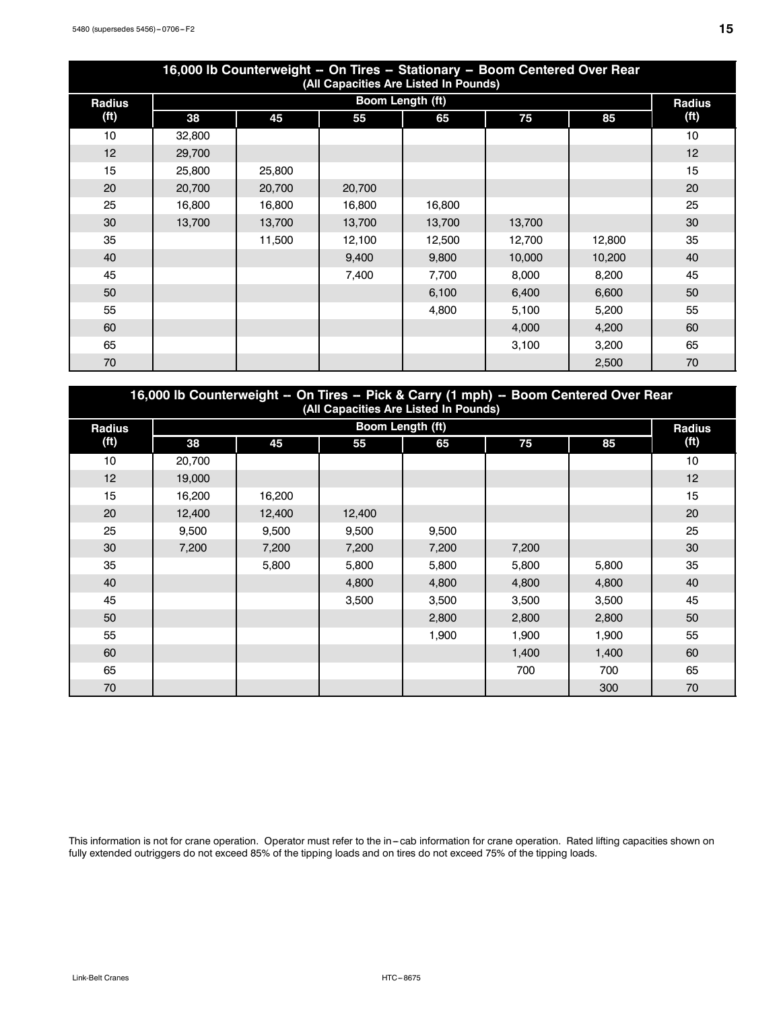| 16,000 lb Counterweight - On Tires - Stationary - Boom Centered Over Rear<br>(All Capacities Are Listed In Pounds) |        |        |                         |        |        |        |                   |  |
|--------------------------------------------------------------------------------------------------------------------|--------|--------|-------------------------|--------|--------|--------|-------------------|--|
| Radius                                                                                                             |        |        | <b>Boom Length (ft)</b> |        |        |        | <b>Radius</b>     |  |
| (f <sup>t</sup> )                                                                                                  | 38     | 45     | 55                      | 65     | 75     | 85     | (t <sup>t</sup> ) |  |
| 10                                                                                                                 | 32,800 |        |                         |        |        |        | 10                |  |
| 12                                                                                                                 | 29,700 |        |                         |        |        |        | 12                |  |
| 15                                                                                                                 | 25,800 | 25,800 |                         |        |        |        | 15                |  |
| 20                                                                                                                 | 20,700 | 20,700 | 20,700                  |        |        |        | 20                |  |
| 25                                                                                                                 | 16,800 | 16,800 | 16,800                  | 16,800 |        |        | 25                |  |
| 30                                                                                                                 | 13,700 | 13,700 | 13,700                  | 13,700 | 13,700 |        | 30                |  |
| 35                                                                                                                 |        | 11,500 | 12,100                  | 12,500 | 12,700 | 12,800 | 35                |  |
| 40                                                                                                                 |        |        | 9,400                   | 9,800  | 10,000 | 10,200 | 40                |  |
| 45                                                                                                                 |        |        | 7,400                   | 7,700  | 8,000  | 8,200  | 45                |  |
| 50                                                                                                                 |        |        |                         | 6,100  | 6,400  | 6,600  | 50                |  |
| 55                                                                                                                 |        |        |                         | 4,800  | 5,100  | 5,200  | 55                |  |
| 60                                                                                                                 |        |        |                         |        | 4,000  | 4,200  | 60                |  |
| 65                                                                                                                 |        |        |                         |        | 3,100  | 3,200  | 65                |  |
| 70                                                                                                                 |        |        |                         |        |        | 2,500  | 70                |  |

| 16,000 lb Counterweight -- On Tires -- Pick & Carry (1 mph) -- Boom Centered Over Rear<br>(All Capacities Are Listed In Pounds) |        |        |        |                  |       |       |                   |  |
|---------------------------------------------------------------------------------------------------------------------------------|--------|--------|--------|------------------|-------|-------|-------------------|--|
| <b>Radius</b>                                                                                                                   |        |        |        | Boom Length (ft) |       |       | <b>Radius</b>     |  |
| (t <sup>t</sup> )                                                                                                               | 38     | 45     | 55     | 65               | 75    | 85    | (t <sup>t</sup> ) |  |
| 10                                                                                                                              | 20,700 |        |        |                  |       |       | 10                |  |
| 12                                                                                                                              | 19,000 |        |        |                  |       |       | 12                |  |
| 15                                                                                                                              | 16,200 | 16,200 |        |                  |       |       | 15                |  |
| 20                                                                                                                              | 12,400 | 12,400 | 12,400 |                  |       |       | 20                |  |
| 25                                                                                                                              | 9,500  | 9,500  | 9,500  | 9,500            |       |       | 25                |  |
| 30                                                                                                                              | 7,200  | 7,200  | 7,200  | 7,200            | 7,200 |       | 30                |  |
| 35                                                                                                                              |        | 5,800  | 5,800  | 5,800            | 5,800 | 5,800 | 35                |  |
| 40                                                                                                                              |        |        | 4,800  | 4,800            | 4,800 | 4,800 | 40                |  |
| 45                                                                                                                              |        |        | 3,500  | 3,500            | 3,500 | 3,500 | 45                |  |
| 50                                                                                                                              |        |        |        | 2,800            | 2,800 | 2,800 | 50                |  |
| 55                                                                                                                              |        |        |        | 1,900            | 1,900 | 1,900 | 55                |  |
| 60                                                                                                                              |        |        |        |                  | 1,400 | 1,400 | 60                |  |
| 65                                                                                                                              |        |        |        |                  | 700   | 700   | 65                |  |
| 70                                                                                                                              |        |        |        |                  |       | 300   | 70                |  |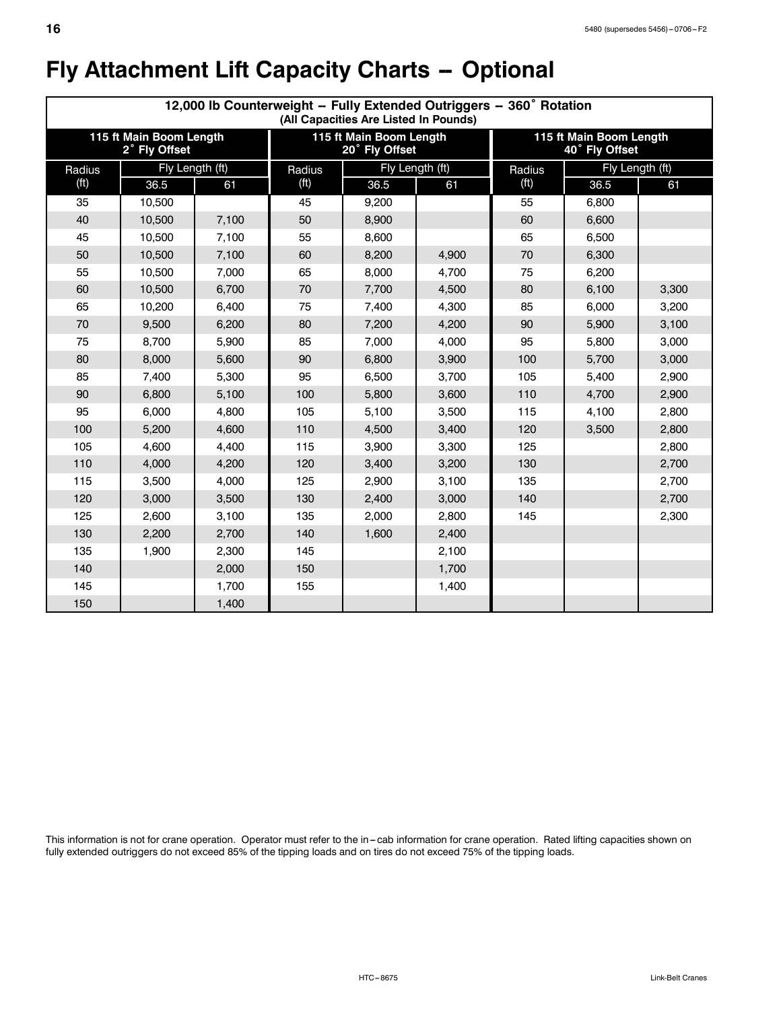#### **12,000 lb Counterweight -- Fully Extended Outriggers -- 360˚ Rotation (All Capacities Are Listed In Pounds) 115 ft Main Boom Length 2˚ Fly Offset 115 ft Main Boom Length 20˚ Fly Offset 115 ft Main Boom Length 40˚ Fly Offset** Radius (ft) Fly Length (ft) Radius (ft) Fly Length (ft) Radius (ft) Fly Length (ft) 36.5 61 (ft) 36.5 61 (ft) 36.5 61 35 10,500 45 9,200 55 6,800 40 | 10,500 | 7,100 | 50 | 8,900 | 60 | 6,600 45 10,500 7,100 55 8,600 65 6,500 50 10,500 7,100 60 8,200 4,900 70 6,300 55 10,500 7,000 65 8,000 4,700 75 6,200 60 10,500 6,700 70 7,700 4,500 80 6,100 3,300 65 10,200 6,400 75 7,400 4,300 85 6,000 3,200 70 9,500 6,200 80 7,200 4,200 90 5,900 3,100 75 8,700 5,900 85 7,000 4,000 95 5,800 3,000 80 8,000 5,600 90 6,800 3,900 100 5,700 3,000 85 7,400 5,300 95 6,500 3,700 105 5,400 2,900 90 6,800 5,100 100 5,800 3,600 110 4,700 2,900 95 6,000 4,800 105 5,100 3,500 115 4,100 2,800 100 6,200 4,600 110 4,500 3,400 120 3,500 2,800 105 4,600 4,400 115 3,900 3,300 125 2,800 110 | 4,000 | 4,200 | 120 | 3,400 | 3,200 | 130 | | 2,700 115 | 3,500 | 4,000 | 125 | 2,900 | 3,100 | 135 | | 2,700 120 3,000 3,500 130 2,400 3,000 140 1 125 2,600 3,100 135 2,000 2,800 145 2,300 130 2,200 2,700 140 1,600 2,400 135 | 1,900 | 2,300 | 145 | | | 2,100 140 | 2,000 | 150 | 1,700 145 | 1,700 | 155 | 1,400 150 | 1.400

# **Fly Attachment Lift Capacity Charts - Optional**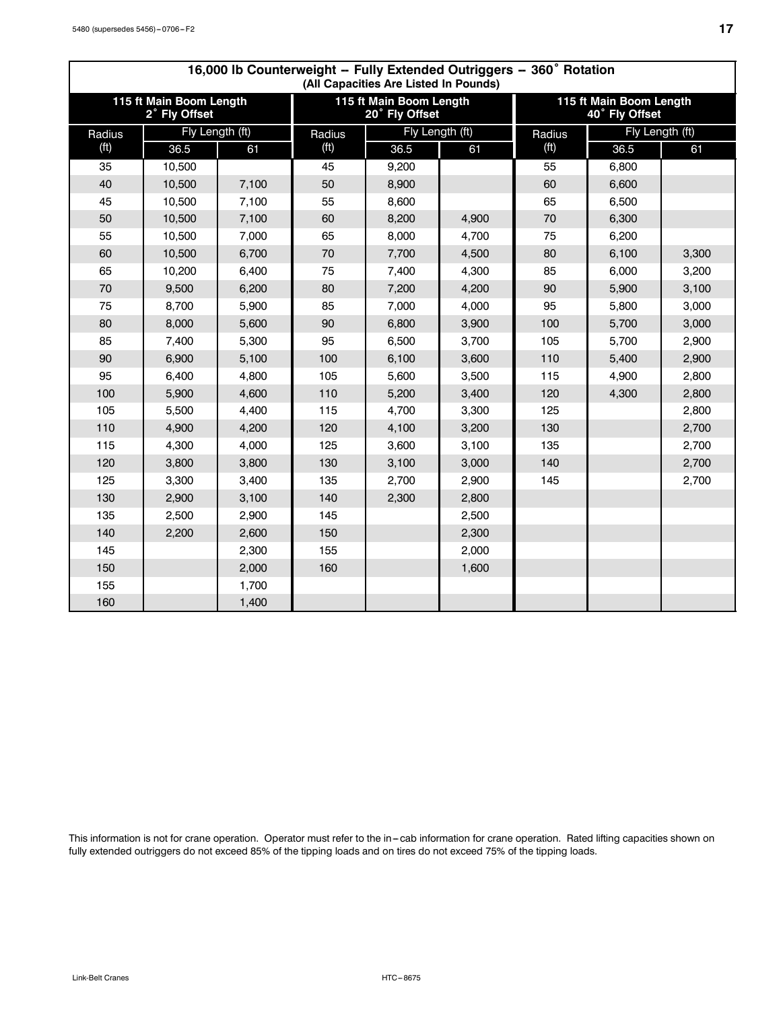|                   | 16,000 lb Counterweight -- Fully Extended Outriggers -- 360° Rotation<br>(All Capacities Are Listed In Pounds) |       |                           |                                           |       |                                           |                 |       |  |  |
|-------------------|----------------------------------------------------------------------------------------------------------------|-------|---------------------------|-------------------------------------------|-------|-------------------------------------------|-----------------|-------|--|--|
|                   | 115 ft Main Boom Length<br>2° Fly Offset                                                                       |       |                           | 115 ft Main Boom Length<br>20° Fly Offset |       | 115 ft Main Boom Length<br>40° Fly Offset |                 |       |  |  |
| Radius            | Fly Length (ft)                                                                                                |       | Fly Length (ft)<br>Radius |                                           |       | Radius                                    | Fly Length (ft) |       |  |  |
| (f <sup>t</sup> ) | 36.5                                                                                                           | 61    | (f <sup>t</sup> )         | 36.5                                      | 61    | (f <sup>t</sup> )                         | 36.5            | 61    |  |  |
| 35                | 10,500                                                                                                         |       | 45                        | 9,200                                     |       | 55                                        | 6,800           |       |  |  |
| 40                | 10,500                                                                                                         | 7,100 | 50                        | 8,900                                     |       | 60                                        | 6,600           |       |  |  |
| 45                | 10,500                                                                                                         | 7,100 | 55                        | 8,600                                     |       | 65                                        | 6,500           |       |  |  |
| 50                | 10,500                                                                                                         | 7,100 | 60                        | 8,200                                     | 4,900 | 70                                        | 6,300           |       |  |  |
| 55                | 10,500                                                                                                         | 7,000 | 65                        | 8,000                                     | 4,700 | 75                                        | 6,200           |       |  |  |
| 60                | 10,500                                                                                                         | 6,700 | 70                        | 7,700                                     | 4,500 | 80                                        | 6,100           | 3,300 |  |  |
| 65                | 10,200                                                                                                         | 6,400 | 75                        | 7,400                                     | 4,300 | 85                                        | 6,000           | 3,200 |  |  |
| 70                | 9,500                                                                                                          | 6,200 | 80                        | 7,200                                     | 4,200 | 90                                        | 5,900           | 3,100 |  |  |
| 75                | 8,700                                                                                                          | 5,900 | 85                        | 7,000                                     | 4,000 | 95                                        | 5,800           | 3,000 |  |  |
| 80                | 8,000                                                                                                          | 5,600 | 90                        | 6,800                                     | 3,900 | 100                                       | 5,700           | 3,000 |  |  |
| 85                | 7,400                                                                                                          | 5,300 | 95                        | 6,500                                     | 3,700 | 105                                       | 5,700           | 2,900 |  |  |
| 90                | 6,900                                                                                                          | 5,100 | 100                       | 6,100                                     | 3,600 | 110                                       | 5,400           | 2,900 |  |  |
| 95                | 6,400                                                                                                          | 4,800 | 105                       | 5,600                                     | 3,500 | 115                                       | 4,900           | 2,800 |  |  |
| 100               | 5,900                                                                                                          | 4,600 | 110                       | 5,200                                     | 3,400 | 120                                       | 4,300           | 2,800 |  |  |
| 105               | 5,500                                                                                                          | 4,400 | 115                       | 4,700                                     | 3,300 | 125                                       |                 | 2,800 |  |  |
| 110               | 4,900                                                                                                          | 4,200 | 120                       | 4,100                                     | 3,200 | 130                                       |                 | 2,700 |  |  |
| 115               | 4,300                                                                                                          | 4,000 | 125                       | 3,600                                     | 3,100 | 135                                       |                 | 2,700 |  |  |
| 120               | 3,800                                                                                                          | 3,800 | 130                       | 3,100                                     | 3,000 | 140                                       |                 | 2,700 |  |  |
| 125               | 3,300                                                                                                          | 3,400 | 135                       | 2,700                                     | 2,900 | 145                                       |                 | 2,700 |  |  |
| 130               | 2,900                                                                                                          | 3,100 | 140                       | 2,300                                     | 2,800 |                                           |                 |       |  |  |
| 135               | 2,500                                                                                                          | 2,900 | 145                       |                                           | 2,500 |                                           |                 |       |  |  |
| 140               | 2,200                                                                                                          | 2,600 | 150                       |                                           | 2,300 |                                           |                 |       |  |  |
| 145               |                                                                                                                | 2,300 | 155                       |                                           | 2,000 |                                           |                 |       |  |  |
| 150               |                                                                                                                | 2,000 | 160                       |                                           | 1,600 |                                           |                 |       |  |  |
| 155               |                                                                                                                | 1,700 |                           |                                           |       |                                           |                 |       |  |  |
| 160               |                                                                                                                | 1,400 |                           |                                           |       |                                           |                 |       |  |  |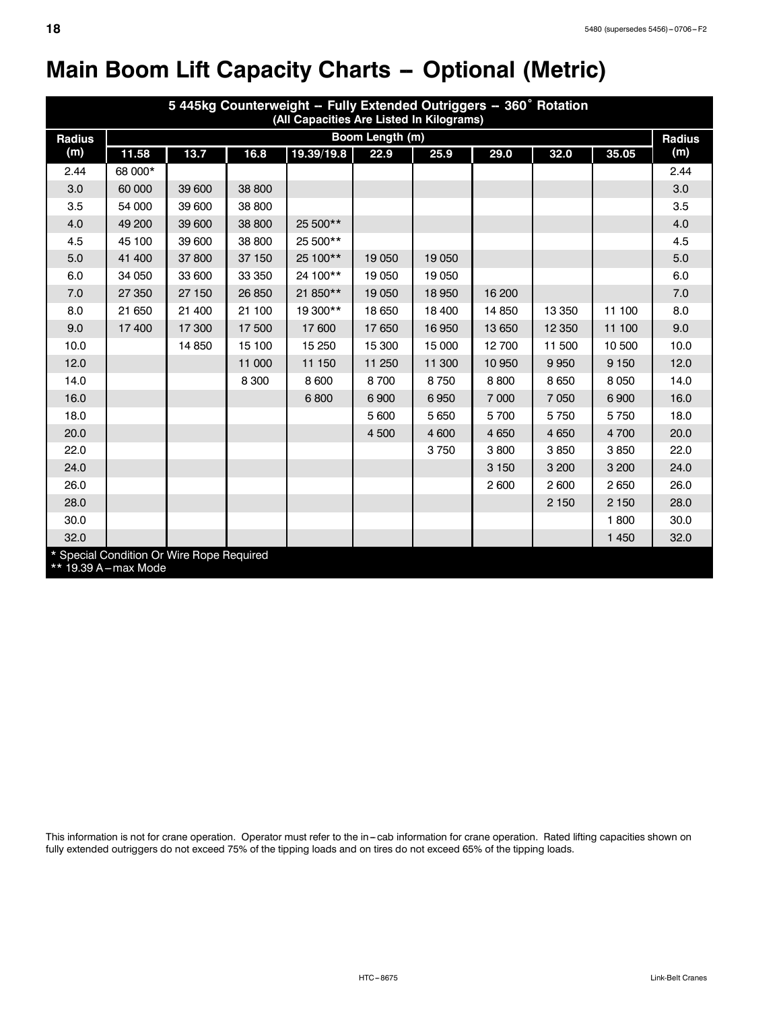|  | <b>Main Boom Lift Capacity Charts - Optional (Metric)</b> |  |  |  |
|--|-----------------------------------------------------------|--|--|--|
|--|-----------------------------------------------------------|--|--|--|

|        | 5 445kg Counterweight -- Fully Extended Outriggers -- 360° Rotation<br>(All Capacities Are Listed In Kilograms) |        |         |            |                 |         |         |         |         |        |
|--------|-----------------------------------------------------------------------------------------------------------------|--------|---------|------------|-----------------|---------|---------|---------|---------|--------|
| Radius |                                                                                                                 |        |         |            | Boom Length (m) |         |         |         |         | Radius |
| (m)    | 11.58                                                                                                           | 13.7   | 16.8    | 19.39/19.8 | 22.9            | 25.9    | 29.0    | 32.0    | 35.05   | (m)    |
| 2.44   | 68 000*                                                                                                         |        |         |            |                 |         |         |         |         | 2.44   |
| 3.0    | 60 000                                                                                                          | 39 600 | 38 800  |            |                 |         |         |         |         | 3.0    |
| 3.5    | 54 000                                                                                                          | 39 600 | 38 800  |            |                 |         |         |         |         | 3.5    |
| 4.0    | 49 200                                                                                                          | 39 600 | 38 800  | 25 500**   |                 |         |         |         |         | 4.0    |
| 4.5    | 45 100                                                                                                          | 39 600 | 38 800  | 25 500**   |                 |         |         |         |         | 4.5    |
| 5.0    | 41 400                                                                                                          | 37 800 | 37 150  | 25 100**   | 19 050          | 19 050  |         |         |         | 5.0    |
| 6.0    | 34 050                                                                                                          | 33 600 | 33 350  | 24 100**   | 19 050          | 19 050  |         |         |         | 6.0    |
| 7.0    | 27 350                                                                                                          | 27 150 | 26 850  | 21 850**   | 19 050          | 18 950  | 16 200  |         |         | 7.0    |
| 8.0    | 21 650                                                                                                          | 21 400 | 21 100  | 19 300**   | 18 650          | 18 400  | 14 850  | 13 350  | 11 100  | 8.0    |
| 9.0    | 17 400                                                                                                          | 17 300 | 17500   | 17 600     | 17650           | 16 950  | 13 650  | 12 3 50 | 11 100  | 9.0    |
| 10.0   |                                                                                                                 | 14 850 | 15 100  | 15 250     | 15 300          | 15 000  | 12700   | 11 500  | 10 500  | 10.0   |
| 12.0   |                                                                                                                 |        | 11 000  | 11 150     | 11 250          | 11 300  | 10 950  | 9950    | 9 1 5 0 | 12.0   |
| 14.0   |                                                                                                                 |        | 8 3 0 0 | 8 600      | 8700            | 8750    | 8800    | 8 6 5 0 | 8050    | 14.0   |
| 16.0   |                                                                                                                 |        |         | 6800       | 6900            | 6950    | 7 0 0 0 | 7 0 5 0 | 6900    | 16.0   |
| 18.0   |                                                                                                                 |        |         |            | 5 600           | 5 6 5 0 | 5700    | 5750    | 5750    | 18.0   |
| 20.0   |                                                                                                                 |        |         |            | 4 500           | 4 600   | 4 6 5 0 | 4 6 5 0 | 4 700   | 20.0   |
| 22.0   |                                                                                                                 |        |         |            |                 | 3750    | 3800    | 3850    | 3850    | 22.0   |
| 24.0   |                                                                                                                 |        |         |            |                 |         | 3 150   | 3 200   | 3 2 0 0 | 24.0   |
| 26.0   |                                                                                                                 |        |         |            |                 |         | 2 600   | 2 600   | 2650    | 26.0   |
| 28.0   |                                                                                                                 |        |         |            |                 |         |         | 2 150   | 2 1 5 0 | 28.0   |
| 30.0   |                                                                                                                 |        |         |            |                 |         |         |         | 1800    | 30.0   |
| 32.0   |                                                                                                                 |        |         |            |                 |         |         |         | 1 4 5 0 | 32.0   |
|        | * Special Condition Or Wire Rope Required                                                                       |        |         |            |                 |         |         |         |         |        |

 $*$  19.39 A - max Mode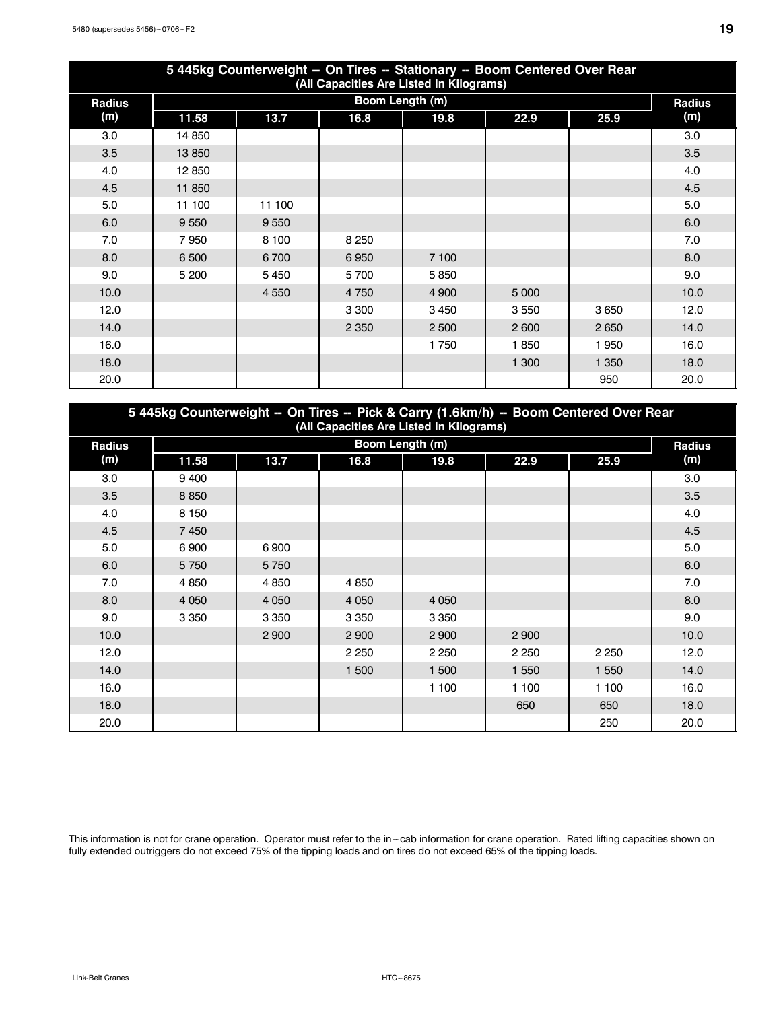| 5 445kg Counterweight - On Tires - Stationary -- Boom Centered Over Rear<br>(All Capacities Are Listed In Kilograms) |        |         |                 |         |         |         |        |  |
|----------------------------------------------------------------------------------------------------------------------|--------|---------|-----------------|---------|---------|---------|--------|--|
| Radius                                                                                                               |        |         | Boom Length (m) |         |         |         | Radius |  |
| (m)                                                                                                                  | 11.58  | 13.7    | 16.8            | 19.8    | 22.9    | 25.9    | (m)    |  |
| 3.0                                                                                                                  | 14 850 |         |                 |         |         |         | 3.0    |  |
| 3.5                                                                                                                  | 13850  |         |                 |         |         |         | 3.5    |  |
| 4.0                                                                                                                  | 12850  |         |                 |         |         |         | 4.0    |  |
| 4.5                                                                                                                  | 11850  |         |                 |         |         |         | 4.5    |  |
| 5.0                                                                                                                  | 11 100 | 11 100  |                 |         |         |         | 5.0    |  |
| 6.0                                                                                                                  | 9550   | 9550    |                 |         |         |         | 6.0    |  |
| 7.0                                                                                                                  | 7950   | 8 1 0 0 | 8 2 5 0         |         |         |         | 7.0    |  |
| 8.0                                                                                                                  | 6 500  | 6700    | 6950            | 7 100   |         |         | 8.0    |  |
| 9.0                                                                                                                  | 5 200  | 5450    | 5700            | 5850    |         |         | 9.0    |  |
| 10.0                                                                                                                 |        | 4550    | 4750            | 4 9 0 0 | 5 0 0 0 |         | 10.0   |  |
| 12.0                                                                                                                 |        |         | 3 3 0 0         | 3450    | 3550    | 3650    | 12.0   |  |
| 14.0                                                                                                                 |        |         | 2 3 5 0         | 2 500   | 2 600   | 2 6 5 0 | 14.0   |  |
| 16.0                                                                                                                 |        |         |                 | 1750    | 1850    | 1950    | 16.0   |  |
| 18.0                                                                                                                 |        |         |                 |         | 1 300   | 1 350   | 18.0   |  |
| 20.0                                                                                                                 |        |         |                 |         |         | 950     | 20.0   |  |

|               | 5 445kg Counterweight -- On Tires -- Pick & Carry (1.6km/h) -- Boom Centered Over Rear<br>(All Capacities Are Listed In Kilograms) |         |                 |         |         |         |               |  |
|---------------|------------------------------------------------------------------------------------------------------------------------------------|---------|-----------------|---------|---------|---------|---------------|--|
| <b>Radius</b> |                                                                                                                                    |         | Boom Length (m) |         |         |         | <b>Radius</b> |  |
| (m)           | 11.58                                                                                                                              | 13.7    | 16.8            | 19.8    | 22.9    | 25.9    | (m)           |  |
| 3.0           | 9400                                                                                                                               |         |                 |         |         |         | 3.0           |  |
| 3.5           | 8850                                                                                                                               |         |                 |         |         |         | 3.5           |  |
| 4.0           | 8 1 5 0                                                                                                                            |         |                 |         |         |         | 4.0           |  |
| 4.5           | 7450                                                                                                                               |         |                 |         |         |         | 4.5           |  |
| 5.0           | 6900                                                                                                                               | 6900    |                 |         |         |         | 5.0           |  |
| 6.0           | 5750                                                                                                                               | 5750    |                 |         |         |         | 6.0           |  |
| 7.0           | 4850                                                                                                                               | 4850    | 4850            |         |         |         | 7.0           |  |
| 8.0           | 4 0 5 0                                                                                                                            | 4 0 5 0 | 4 0 5 0         | 4 0 5 0 |         |         | 8.0           |  |
| 9.0           | 3 3 5 0                                                                                                                            | 3 3 5 0 | 3 3 5 0         | 3 3 5 0 |         |         | 9.0           |  |
| 10.0          |                                                                                                                                    | 2 9 0 0 | 2 9 0 0         | 2 9 0 0 | 2 9 0 0 |         | 10.0          |  |
| 12.0          |                                                                                                                                    |         | 2 2 5 0         | 2 2 5 0 | 2 2 5 0 | 2 2 5 0 | 12.0          |  |
| 14.0          |                                                                                                                                    |         | 1 500           | 1 500   | 1 550   | 1 550   | 14.0          |  |
| 16.0          |                                                                                                                                    |         |                 | 1 100   | 1 100   | 1 100   | 16.0          |  |
| 18.0          |                                                                                                                                    |         |                 |         | 650     | 650     | 18.0          |  |
| 20.0          |                                                                                                                                    |         |                 |         |         | 250     | 20.0          |  |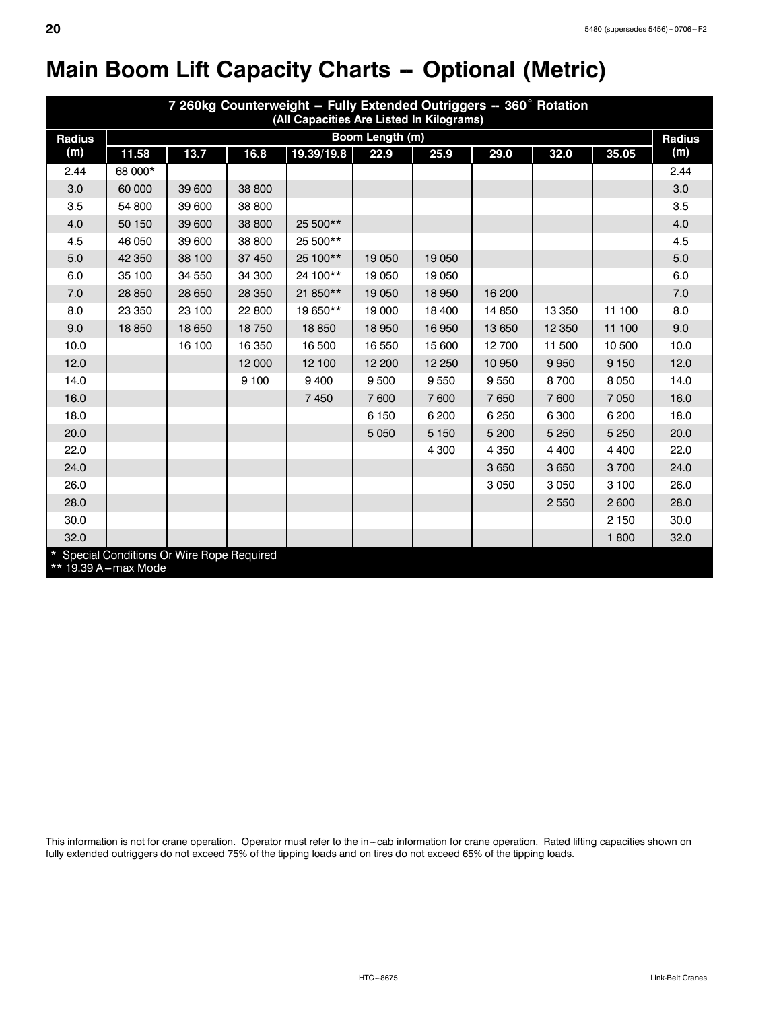| <b>Main Boom Lift Capacity Charts - Optional (Metric)</b> |  |  |  |
|-----------------------------------------------------------|--|--|--|
|-----------------------------------------------------------|--|--|--|

| 7 260kg Counterweight -- Fully Extended Outriggers -- 360° Rotation<br>(All Capacities Are Listed In Kilograms) |                                          |        |        |            |         |         |         |         |         |      |  |  |
|-----------------------------------------------------------------------------------------------------------------|------------------------------------------|--------|--------|------------|---------|---------|---------|---------|---------|------|--|--|
| Radius                                                                                                          | Boom Length (m)                          |        |        |            |         |         |         |         |         |      |  |  |
| (m)                                                                                                             | 11.58                                    | 13.7   | 16.8   | 19.39/19.8 | 22.9    | 25.9    | 29.0    | 32.0    | 35.05   | (m)  |  |  |
| 2.44                                                                                                            | 68 000*                                  |        |        |            |         |         |         |         |         | 2.44 |  |  |
| 3.0                                                                                                             | 60 000                                   | 39 600 | 38 800 |            |         |         |         |         |         | 3.0  |  |  |
| 3.5                                                                                                             | 54 800                                   | 39 600 | 38 800 |            |         |         |         |         |         | 3.5  |  |  |
| 4.0                                                                                                             | 50 150                                   | 39 600 | 38 800 | 25 500**   |         |         |         |         |         | 4.0  |  |  |
| 4.5                                                                                                             | 46 050                                   | 39 600 | 38 800 | 25 500**   |         |         |         |         |         | 4.5  |  |  |
| 5.0                                                                                                             | 42 350                                   | 38 100 | 37 450 | 25 100**   | 19 050  | 19 050  |         |         |         | 5.0  |  |  |
| 6.0                                                                                                             | 35 100                                   | 34 550 | 34 300 | 24 100**   | 19 050  | 19 050  |         |         |         | 6.0  |  |  |
| 7.0                                                                                                             | 28 850                                   | 28 650 | 28 350 | 21 850**   | 19 050  | 18 950  | 16 200  |         |         | 7.0  |  |  |
| 8.0                                                                                                             | 23 350                                   | 23 100 | 22 800 | 19 650**   | 19 000  | 18 400  | 14 850  | 13 350  | 11 100  | 8.0  |  |  |
| 9.0                                                                                                             | 18 850                                   | 18 650 | 18750  | 18 850     | 18 950  | 16 950  | 13 650  | 12 3 50 | 11 100  | 9.0  |  |  |
| 10.0                                                                                                            |                                          | 16 100 | 16 350 | 16 500     | 16 550  | 15 600  | 12 700  | 11 500  | 10 500  | 10.0 |  |  |
| 12.0                                                                                                            |                                          |        | 12 000 | 12 100     | 12 200  | 12 250  | 10 950  | 9950    | 9 1 5 0 | 12.0 |  |  |
| 14.0                                                                                                            |                                          |        | 9 100  | 9400       | 9500    | 9550    | 9550    | 8700    | 8 0 5 0 | 14.0 |  |  |
| 16.0                                                                                                            |                                          |        |        | 7450       | 7600    | 7600    | 7650    | 7 600   | 7 0 5 0 | 16.0 |  |  |
| 18.0                                                                                                            |                                          |        |        |            | 6 150   | 6 200   | 6 250   | 6 300   | 6 200   | 18.0 |  |  |
| 20.0                                                                                                            |                                          |        |        |            | 5 0 5 0 | 5 1 5 0 | 5 200   | 5 2 5 0 | 5 2 5 0 | 20.0 |  |  |
| 22.0                                                                                                            |                                          |        |        |            |         | 4 3 0 0 | 4 3 5 0 | 4 4 0 0 | 4 4 0 0 | 22.0 |  |  |
| 24.0                                                                                                            |                                          |        |        |            |         |         | 3650    | 3650    | 3700    | 24.0 |  |  |
| 26.0                                                                                                            |                                          |        |        |            |         |         | 3 0 5 0 | 3 0 5 0 | 3 100   | 26.0 |  |  |
| 28.0                                                                                                            |                                          |        |        |            |         |         |         | 2550    | 2600    | 28.0 |  |  |
| 30.0                                                                                                            |                                          |        |        |            |         |         |         |         | 2 1 5 0 | 30.0 |  |  |
| 32.0                                                                                                            |                                          |        |        |            |         |         |         |         | 1800    | 32.0 |  |  |
|                                                                                                                 | Special Conditions Or Wire Rope Required |        |        |            |         |         |         |         |         |      |  |  |

 $*$  19.39 A $-$ max Mode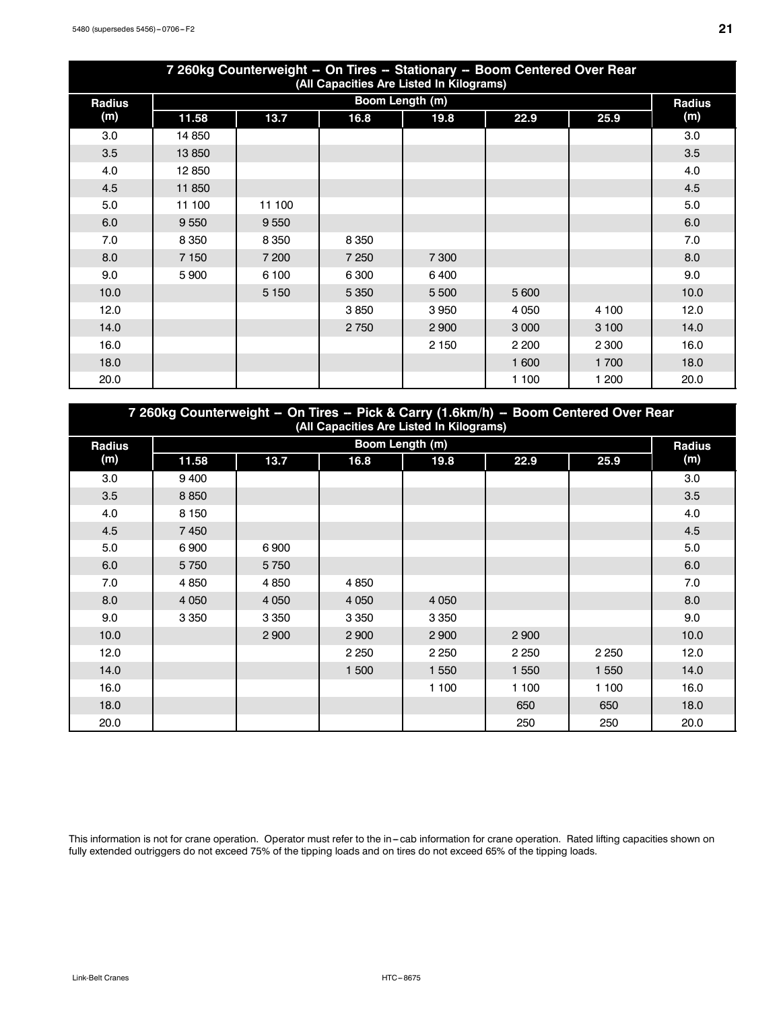| 7 260kg Counterweight - On Tires - Stationary -- Boom Centered Over Rear<br>(All Capacities Are Listed In Kilograms) |                 |         |         |         |         |         |      |  |  |
|----------------------------------------------------------------------------------------------------------------------|-----------------|---------|---------|---------|---------|---------|------|--|--|
| Radius                                                                                                               | Boom Length (m) |         |         |         |         |         |      |  |  |
| (m)                                                                                                                  | 11.58           | 13.7    | 16.8    | 19.8    | 22.9    | 25.9    | (m)  |  |  |
| 3.0                                                                                                                  | 14 850          |         |         |         |         |         | 3.0  |  |  |
| 3.5                                                                                                                  | 13850           |         |         |         |         |         | 3.5  |  |  |
| 4.0                                                                                                                  | 12850           |         |         |         |         |         | 4.0  |  |  |
| 4.5                                                                                                                  | 11 850          |         |         |         |         |         | 4.5  |  |  |
| 5.0                                                                                                                  | 11 100          | 11 100  |         |         |         |         | 5.0  |  |  |
| 6.0                                                                                                                  | 9550            | 9550    |         |         |         |         | 6.0  |  |  |
| 7.0                                                                                                                  | 8 3 5 0         | 8 3 5 0 | 8 3 5 0 |         |         |         | 7.0  |  |  |
| 8.0                                                                                                                  | 7 1 5 0         | 7 200   | 7 2 5 0 | 7 300   |         |         | 8.0  |  |  |
| 9.0                                                                                                                  | 5900            | 6 100   | 6 300   | 6400    |         |         | 9.0  |  |  |
| 10.0                                                                                                                 |                 | 5 1 5 0 | 5 3 5 0 | 5 5 0 0 | 5 600   |         | 10.0 |  |  |
| 12.0                                                                                                                 |                 |         | 3850    | 3950    | 4 0 5 0 | 4 100   | 12.0 |  |  |
| 14.0                                                                                                                 |                 |         | 2 7 5 0 | 2 9 0 0 | 3 0 0 0 | 3 100   | 14.0 |  |  |
| 16.0                                                                                                                 |                 |         |         | 2 150   | 2 2 0 0 | 2 3 0 0 | 16.0 |  |  |
| 18.0                                                                                                                 |                 |         |         |         | 1 600   | 1 700   | 18.0 |  |  |
| 20.0                                                                                                                 |                 |         |         |         | 1 100   | 1 200   | 20.0 |  |  |

| 7 260kg Counterweight - On Tires -- Pick & Carry (1.6km/h) -- Boom Centered Over Rear<br>(All Capacities Are Listed In Kilograms) |                 |         |         |         |         |         |      |  |  |
|-----------------------------------------------------------------------------------------------------------------------------------|-----------------|---------|---------|---------|---------|---------|------|--|--|
| Radius                                                                                                                            | Boom Length (m) |         |         |         |         |         |      |  |  |
| (m)                                                                                                                               | 11.58           | 13.7    | 16.8    | 19.8    | 22.9    | 25.9    | (m)  |  |  |
| 3.0                                                                                                                               | 9400            |         |         |         |         |         | 3.0  |  |  |
| 3.5                                                                                                                               | 8850            |         |         |         |         |         | 3.5  |  |  |
| 4.0                                                                                                                               | 8 1 5 0         |         |         |         |         |         | 4.0  |  |  |
| 4.5                                                                                                                               | 7450            |         |         |         |         |         | 4.5  |  |  |
| 5.0                                                                                                                               | 6900            | 6900    |         |         |         |         | 5.0  |  |  |
| 6.0                                                                                                                               | 5750            | 5750    |         |         |         |         | 6.0  |  |  |
| 7.0                                                                                                                               | 4 8 5 0         | 4850    | 4850    |         |         |         | 7.0  |  |  |
| 8.0                                                                                                                               | 4 0 5 0         | 4 0 5 0 | 4 0 5 0 | 4 0 5 0 |         |         | 8.0  |  |  |
| 9.0                                                                                                                               | 3 3 5 0         | 3 3 5 0 | 3 3 5 0 | 3 3 5 0 |         |         | 9.0  |  |  |
| 10.0                                                                                                                              |                 | 2 9 0 0 | 2 9 0 0 | 2 9 0 0 | 2 9 0 0 |         | 10.0 |  |  |
| 12.0                                                                                                                              |                 |         | 2 2 5 0 | 2 2 5 0 | 2 2 5 0 | 2 2 5 0 | 12.0 |  |  |
| 14.0                                                                                                                              |                 |         | 1 500   | 1 5 5 0 | 1 550   | 1 550   | 14.0 |  |  |
| 16.0                                                                                                                              |                 |         |         | 1 100   | 1 100   | 1 100   | 16.0 |  |  |
| 18.0                                                                                                                              |                 |         |         |         | 650     | 650     | 18.0 |  |  |
| 20.0                                                                                                                              |                 |         |         |         | 250     | 250     | 20.0 |  |  |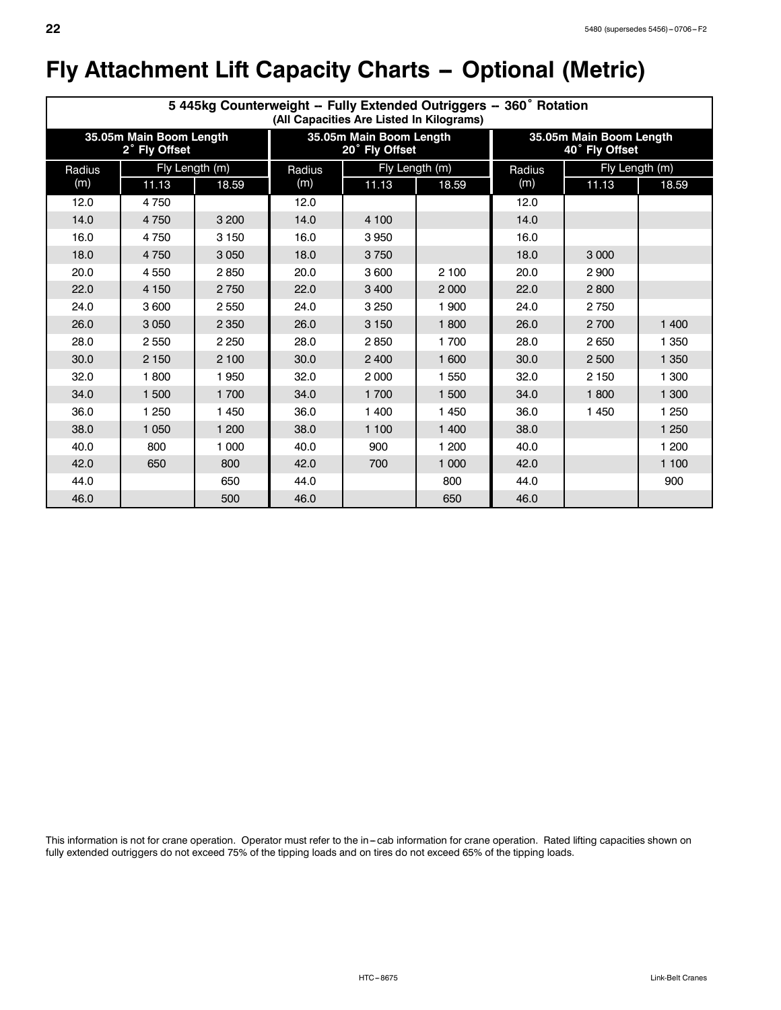# **Fly Attachment Lift Capacity Charts - Optional (Metric)**

| 5 445kg Counterweight - Fully Extended Outriggers - 360° Rotation<br>(All Capacities Are Listed In Kilograms) |         |                |        |                                           |         |                                           |                |         |  |  |
|---------------------------------------------------------------------------------------------------------------|---------|----------------|--------|-------------------------------------------|---------|-------------------------------------------|----------------|---------|--|--|
| 35.05m Main Boom Length<br>2° Fly Offset                                                                      |         |                |        | 35.05m Main Boom Length<br>20° Fly Offset |         | 35.05m Main Boom Length<br>40° Fly Offset |                |         |  |  |
| Radius                                                                                                        |         | Fly Length (m) | Radius | Fly Length (m)                            |         | Radius                                    | Fly Length (m) |         |  |  |
| (m)                                                                                                           | 11.13   | 18.59          | (m)    | 11.13                                     | 18.59   | (m)                                       | 11.13          | 18,59   |  |  |
| 12.0                                                                                                          | 4750    |                | 12.0   |                                           |         | 12.0                                      |                |         |  |  |
| 14.0                                                                                                          | 4750    | 3 200          | 14.0   | 4 100                                     |         | 14.0                                      |                |         |  |  |
| 16.0                                                                                                          | 4750    | 3 1 5 0        | 16.0   | 3950                                      |         | 16.0                                      |                |         |  |  |
| 18.0                                                                                                          | 4750    | 3 0 5 0        | 18.0   | 3750                                      |         | 18.0                                      | 3 0 0 0        |         |  |  |
| 20.0                                                                                                          | 4550    | 2850           | 20.0   | 3600                                      | 2 100   | 20.0                                      | 2 9 0 0        |         |  |  |
| 22.0                                                                                                          | 4 1 5 0 | 2750           | 22.0   | 3 4 0 0                                   | 2000    | 22.0                                      | 2800           |         |  |  |
| 24.0                                                                                                          | 3600    | 2550           | 24.0   | 3 2 5 0                                   | 1900    | 24.0                                      | 2750           |         |  |  |
| 26.0                                                                                                          | 3 0 5 0 | 2 3 5 0        | 26.0   | 3 1 5 0                                   | 1800    | 26.0                                      | 2 700          | 1 400   |  |  |
| 28.0                                                                                                          | 2 5 5 0 | 2 2 5 0        | 28.0   | 2850                                      | 1 700   | 28.0                                      | 2650           | 1 3 5 0 |  |  |
| 30.0                                                                                                          | 2 1 5 0 | 2 100          | 30.0   | 2 4 0 0                                   | 1 600   | 30.0                                      | 2 500          | 1 3 5 0 |  |  |
| 32.0                                                                                                          | 1800    | 1950           | 32.0   | 2000                                      | 1 550   | 32.0                                      | 2 150          | 1 300   |  |  |
| 34.0                                                                                                          | 1 500   | 1700           | 34.0   | 1 700                                     | 1 500   | 34.0                                      | 1800           | 1 300   |  |  |
| 36.0                                                                                                          | 1 250   | 1450           | 36.0   | 1 400                                     | 1450    | 36.0                                      | 1 450          | 1 250   |  |  |
| 38.0                                                                                                          | 1 0 5 0 | 1 200          | 38.0   | 1 100                                     | 1 400   | 38.0                                      |                | 1 2 5 0 |  |  |
| 40.0                                                                                                          | 800     | 1 000          | 40.0   | 900                                       | 1 200   | 40.0                                      |                | 1 200   |  |  |
| 42.0                                                                                                          | 650     | 800            | 42.0   | 700                                       | 1 0 0 0 | 42.0                                      |                | 1 100   |  |  |
| 44.0                                                                                                          |         | 650            | 44.0   |                                           | 800     | 44.0                                      |                | 900     |  |  |
| 46.0                                                                                                          |         | 500            | 46.0   |                                           | 650     | 46.0                                      |                |         |  |  |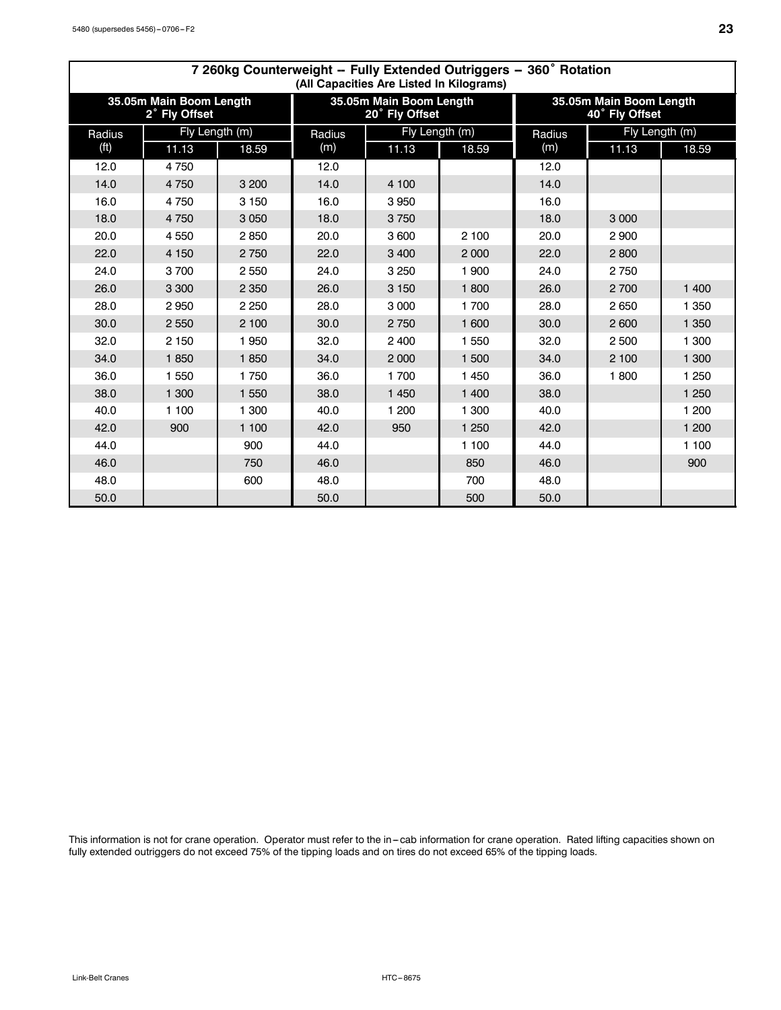| 7 260kg Counterweight -- Fully Extended Outriggers -- 360° Rotation<br>(All Capacities Are Listed In Kilograms) |                                          |         |                          |                                           |       |                                           |                |         |  |  |  |
|-----------------------------------------------------------------------------------------------------------------|------------------------------------------|---------|--------------------------|-------------------------------------------|-------|-------------------------------------------|----------------|---------|--|--|--|
|                                                                                                                 | 35.05m Main Boom Length<br>2° Fly Offset |         |                          | 35.05m Main Boom Length<br>20° Fly Offset |       | 35.05m Main Boom Length<br>40° Fly Offset |                |         |  |  |  |
| Radius                                                                                                          | Fly Length (m)                           |         | Fly Length (m)<br>Radius |                                           |       | Radius                                    | Fly Length (m) |         |  |  |  |
| (f <sup>t</sup> )                                                                                               | 11.13                                    | 18.59   | (m)                      | 11.13                                     | 18.59 | (m)                                       | 11.13          | 18.59   |  |  |  |
| 12.0                                                                                                            | 4750                                     |         | 12.0                     |                                           |       | 12.0                                      |                |         |  |  |  |
| 14.0                                                                                                            | 4750                                     | 3 200   | 14.0                     | 4 100                                     |       | 14.0                                      |                |         |  |  |  |
| 16.0                                                                                                            | 4750                                     | 3 1 5 0 | 16.0                     | 3950                                      |       | 16.0                                      |                |         |  |  |  |
| 18.0                                                                                                            | 4750                                     | 3 0 5 0 | 18.0                     | 3750                                      |       | 18.0                                      | 3 0 0 0        |         |  |  |  |
| 20.0                                                                                                            | 4 5 5 0                                  | 2850    | 20.0                     | 3 600                                     | 2 100 | 20.0                                      | 2 9 0 0        |         |  |  |  |
| 22.0                                                                                                            | 4 1 5 0                                  | 2750    | 22.0                     | 3 400                                     | 2000  | 22.0                                      | 2800           |         |  |  |  |
| 24.0                                                                                                            | 3700                                     | 2550    | 24.0                     | 3 2 5 0                                   | 1 900 | 24.0                                      | 2750           |         |  |  |  |
| 26.0                                                                                                            | 3 3 0 0                                  | 2 3 5 0 | 26.0                     | 3 1 5 0                                   | 1800  | 26.0                                      | 2700           | 1 400   |  |  |  |
| 28.0                                                                                                            | 2950                                     | 2 2 5 0 | 28.0                     | 3 0 0 0                                   | 1700  | 28.0                                      | 2 6 5 0        | 1 350   |  |  |  |
| 30.0                                                                                                            | 2 5 5 0                                  | 2 100   | 30.0                     | 2750                                      | 1 600 | 30.0                                      | 2 600          | 1 3 5 0 |  |  |  |
| 32.0                                                                                                            | 2 1 5 0                                  | 1950    | 32.0                     | 2 400                                     | 1550  | 32.0                                      | 2 500          | 1 300   |  |  |  |
| 34.0                                                                                                            | 1850                                     | 1850    | 34.0                     | 2 0 0 0                                   | 1 500 | 34.0                                      | 2 100          | 1 300   |  |  |  |
| 36.0                                                                                                            | 1 550                                    | 1750    | 36.0                     | 1700                                      | 1 450 | 36.0                                      | 1800           | 1 250   |  |  |  |
| 38.0                                                                                                            | 1 300                                    | 1 550   | 38.0                     | 1 450                                     | 1 400 | 38.0                                      |                | 1 250   |  |  |  |
| 40.0                                                                                                            | 1 100                                    | 1 300   | 40.0                     | 1 200                                     | 1 300 | 40.0                                      |                | 1 200   |  |  |  |
| 42.0                                                                                                            | 900                                      | 1 100   | 42.0                     | 950                                       | 1 250 | 42.0                                      |                | 1 200   |  |  |  |
| 44.0                                                                                                            |                                          | 900     | 44.0                     |                                           | 1 100 | 44.0                                      |                | 1 100   |  |  |  |
| 46.0                                                                                                            |                                          | 750     | 46.0                     |                                           | 850   | 46.0                                      |                | 900     |  |  |  |
| 48.0                                                                                                            |                                          | 600     | 48.0                     |                                           | 700   | 48.0                                      |                |         |  |  |  |
| 50.0                                                                                                            |                                          |         | 50.0                     |                                           | 500   | 50.0                                      |                |         |  |  |  |